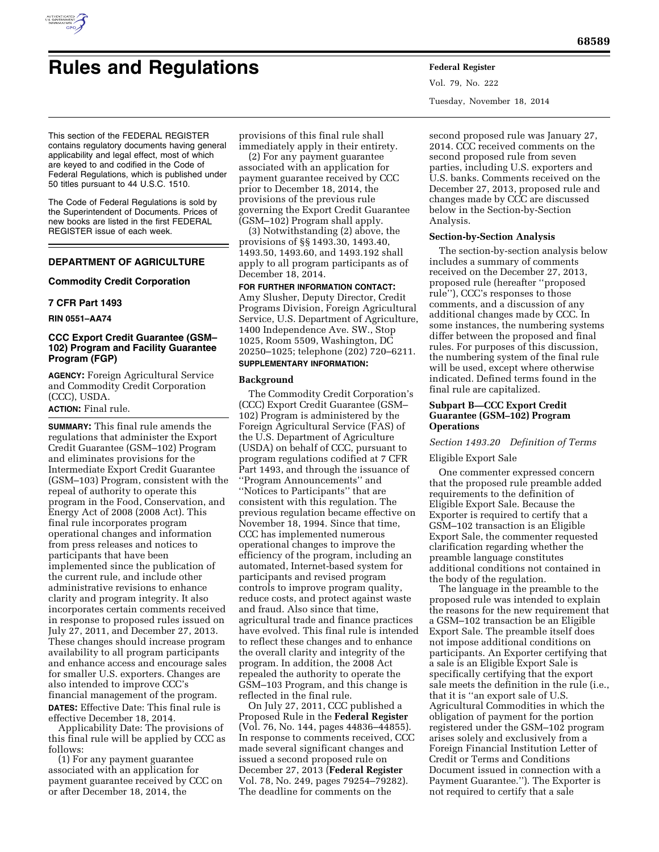

# **Rules and Regulations Federal Register**

Vol. 79, No. 222 Tuesday, November 18, 2014

This section of the FEDERAL REGISTER contains regulatory documents having general applicability and legal effect, most of which are keyed to and codified in the Code of Federal Regulations, which is published under 50 titles pursuant to 44 U.S.C. 1510.

The Code of Federal Regulations is sold by the Superintendent of Documents. Prices of new books are listed in the first FEDERAL REGISTER issue of each week.

# **DEPARTMENT OF AGRICULTURE**

# **Commodity Credit Corporation**

## **7 CFR Part 1493**

**RIN 0551–AA74** 

# **CCC Export Credit Guarantee (GSM– 102) Program and Facility Guarantee Program (FGP)**

**AGENCY:** Foreign Agricultural Service and Commodity Credit Corporation (CCC), USDA. **ACTION:** Final rule.

**SUMMARY:** This final rule amends the regulations that administer the Export Credit Guarantee (GSM–102) Program and eliminates provisions for the Intermediate Export Credit Guarantee (GSM–103) Program, consistent with the repeal of authority to operate this program in the Food, Conservation, and Energy Act of 2008 (2008 Act). This final rule incorporates program operational changes and information from press releases and notices to participants that have been implemented since the publication of the current rule, and include other administrative revisions to enhance clarity and program integrity. It also incorporates certain comments received in response to proposed rules issued on July 27, 2011, and December 27, 2013. These changes should increase program availability to all program participants and enhance access and encourage sales for smaller U.S. exporters. Changes are also intended to improve CCC's financial management of the program. **DATES:** Effective Date: This final rule is effective December 18, 2014.

Applicability Date: The provisions of this final rule will be applied by CCC as follows:

(1) For any payment guarantee associated with an application for payment guarantee received by CCC on or after December 18, 2014, the

provisions of this final rule shall immediately apply in their entirety.

(2) For any payment guarantee associated with an application for payment guarantee received by CCC prior to December 18, 2014, the provisions of the previous rule governing the Export Credit Guarantee (GSM–102) Program shall apply.

(3) Notwithstanding (2) above, the provisions of §§ 1493.30, 1493.40, 1493.50, 1493.60, and 1493.192 shall apply to all program participants as of December 18, 2014.

## **FOR FURTHER INFORMATION CONTACT:**

Amy Slusher, Deputy Director, Credit Programs Division, Foreign Agricultural Service, U.S. Department of Agriculture, 1400 Independence Ave. SW., Stop 1025, Room 5509, Washington, DC 20250–1025; telephone (202) 720–6211.

# **SUPPLEMENTARY INFORMATION:**

# **Background**

The Commodity Credit Corporation's (CCC) Export Credit Guarantee (GSM– 102) Program is administered by the Foreign Agricultural Service (FAS) of the U.S. Department of Agriculture (USDA) on behalf of CCC, pursuant to program regulations codified at 7 CFR Part 1493, and through the issuance of ''Program Announcements'' and ''Notices to Participants'' that are consistent with this regulation. The previous regulation became effective on November 18, 1994. Since that time, CCC has implemented numerous operational changes to improve the efficiency of the program, including an automated, Internet-based system for participants and revised program controls to improve program quality, reduce costs, and protect against waste and fraud. Also since that time, agricultural trade and finance practices have evolved. This final rule is intended to reflect these changes and to enhance the overall clarity and integrity of the program. In addition, the 2008 Act repealed the authority to operate the GSM–103 Program, and this change is reflected in the final rule.

On July 27, 2011, CCC published a Proposed Rule in the **Federal Register**  (Vol. 76, No. 144, pages 44836–44855). In response to comments received, CCC made several significant changes and issued a second proposed rule on December 27, 2013 (**Federal Register**  Vol. 78, No. 249, pages 79254–79282). The deadline for comments on the

second proposed rule was January 27, 2014. CCC received comments on the second proposed rule from seven parties, including U.S. exporters and U.S. banks. Comments received on the December 27, 2013, proposed rule and changes made by CCC are discussed below in the Section-by-Section Analysis.

#### **Section-by-Section Analysis**

The section-by-section analysis below includes a summary of comments received on the December 27, 2013, proposed rule (hereafter ''proposed rule''), CCC's responses to those comments, and a discussion of any additional changes made by CCC. In some instances, the numbering systems differ between the proposed and final rules. For purposes of this discussion, the numbering system of the final rule will be used, except where otherwise indicated. Defined terms found in the final rule are capitalized.

## **Subpart B—CCC Export Credit Guarantee (GSM–102) Program Operations**

## *Section 1493.20 Definition of Terms*

## Eligible Export Sale

One commenter expressed concern that the proposed rule preamble added requirements to the definition of Eligible Export Sale. Because the Exporter is required to certify that a GSM–102 transaction is an Eligible Export Sale, the commenter requested clarification regarding whether the preamble language constitutes additional conditions not contained in the body of the regulation.

The language in the preamble to the proposed rule was intended to explain the reasons for the new requirement that a GSM–102 transaction be an Eligible Export Sale. The preamble itself does not impose additional conditions on participants. An Exporter certifying that a sale is an Eligible Export Sale is specifically certifying that the export sale meets the definition in the rule (i.e., that it is ''an export sale of U.S. Agricultural Commodities in which the obligation of payment for the portion registered under the GSM–102 program arises solely and exclusively from a Foreign Financial Institution Letter of Credit or Terms and Conditions Document issued in connection with a Payment Guarantee.''). The Exporter is not required to certify that a sale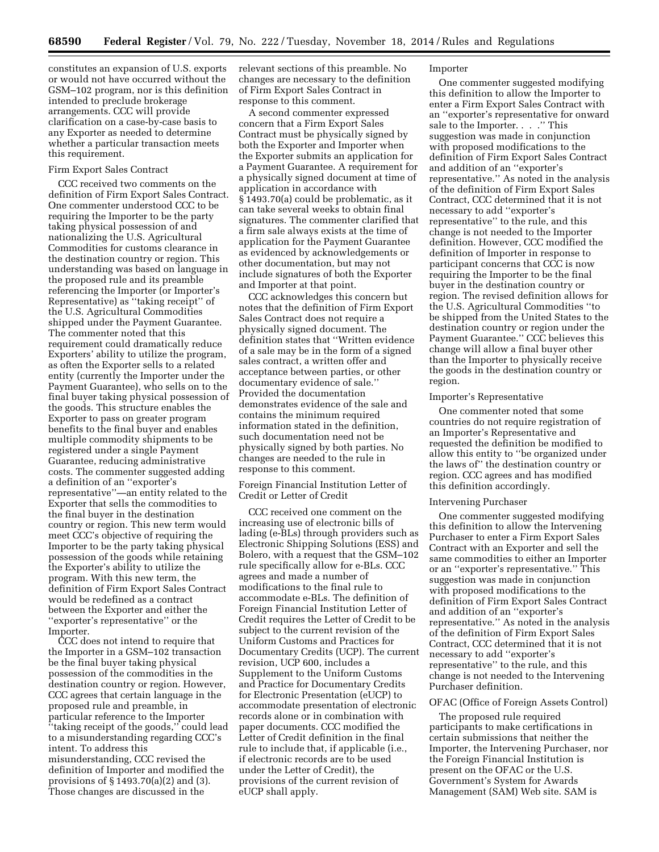constitutes an expansion of U.S. exports or would not have occurred without the GSM–102 program, nor is this definition intended to preclude brokerage arrangements. CCC will provide clarification on a case-by-case basis to any Exporter as needed to determine whether a particular transaction meets this requirement.

## Firm Export Sales Contract

CCC received two comments on the definition of Firm Export Sales Contract. One commenter understood CCC to be requiring the Importer to be the party taking physical possession of and nationalizing the U.S. Agricultural Commodities for customs clearance in the destination country or region. This understanding was based on language in the proposed rule and its preamble referencing the Importer (or Importer's Representative) as ''taking receipt'' of the U.S. Agricultural Commodities shipped under the Payment Guarantee. The commenter noted that this requirement could dramatically reduce Exporters' ability to utilize the program, as often the Exporter sells to a related entity (currently the Importer under the Payment Guarantee), who sells on to the final buyer taking physical possession of the goods. This structure enables the Exporter to pass on greater program benefits to the final buyer and enables multiple commodity shipments to be registered under a single Payment Guarantee, reducing administrative costs. The commenter suggested adding a definition of an ''exporter's representative''—an entity related to the Exporter that sells the commodities to the final buyer in the destination country or region. This new term would meet CCC's objective of requiring the Importer to be the party taking physical possession of the goods while retaining the Exporter's ability to utilize the program. With this new term, the definition of Firm Export Sales Contract would be redefined as a contract between the Exporter and either the ''exporter's representative'' or the Importer.

CCC does not intend to require that the Importer in a GSM–102 transaction be the final buyer taking physical possession of the commodities in the destination country or region. However, CCC agrees that certain language in the proposed rule and preamble, in particular reference to the Importer ''taking receipt of the goods,'' could lead to a misunderstanding regarding CCC's intent. To address this misunderstanding, CCC revised the definition of Importer and modified the provisions of § 1493.70(a)(2) and (3). Those changes are discussed in the

relevant sections of this preamble. No changes are necessary to the definition of Firm Export Sales Contract in response to this comment.

A second commenter expressed concern that a Firm Export Sales Contract must be physically signed by both the Exporter and Importer when the Exporter submits an application for a Payment Guarantee. A requirement for a physically signed document at time of application in accordance with § 1493.70(a) could be problematic, as it can take several weeks to obtain final signatures. The commenter clarified that a firm sale always exists at the time of application for the Payment Guarantee as evidenced by acknowledgements or other documentation, but may not include signatures of both the Exporter and Importer at that point.

CCC acknowledges this concern but notes that the definition of Firm Export Sales Contract does not require a physically signed document. The definition states that ''Written evidence of a sale may be in the form of a signed sales contract, a written offer and acceptance between parties, or other documentary evidence of sale.'' Provided the documentation demonstrates evidence of the sale and contains the minimum required information stated in the definition, such documentation need not be physically signed by both parties. No changes are needed to the rule in response to this comment.

Foreign Financial Institution Letter of Credit or Letter of Credit

CCC received one comment on the increasing use of electronic bills of lading (e-BLs) through providers such as Electronic Shipping Solutions (ESS) and Bolero, with a request that the GSM–102 rule specifically allow for e-BLs. CCC agrees and made a number of modifications to the final rule to accommodate e-BLs. The definition of Foreign Financial Institution Letter of Credit requires the Letter of Credit to be subject to the current revision of the Uniform Customs and Practices for Documentary Credits (UCP). The current revision, UCP 600, includes a Supplement to the Uniform Customs and Practice for Documentary Credits for Electronic Presentation (eUCP) to accommodate presentation of electronic records alone or in combination with paper documents. CCC modified the Letter of Credit definition in the final rule to include that, if applicable (i.e., if electronic records are to be used under the Letter of Credit), the provisions of the current revision of eUCP shall apply.

#### Importer

One commenter suggested modifying this definition to allow the Importer to enter a Firm Export Sales Contract with an ''exporter's representative for onward sale to the Importer. . . .'' This suggestion was made in conjunction with proposed modifications to the definition of Firm Export Sales Contract and addition of an ''exporter's representative.'' As noted in the analysis of the definition of Firm Export Sales Contract, CCC determined that it is not necessary to add ''exporter's representative'' to the rule, and this change is not needed to the Importer definition. However, CCC modified the definition of Importer in response to participant concerns that CCC is now requiring the Importer to be the final buyer in the destination country or region. The revised definition allows for the U.S. Agricultural Commodities ''to be shipped from the United States to the destination country or region under the Payment Guarantee.'' CCC believes this change will allow a final buyer other than the Importer to physically receive the goods in the destination country or region.

#### Importer's Representative

One commenter noted that some countries do not require registration of an Importer's Representative and requested the definition be modified to allow this entity to ''be organized under the laws of'' the destination country or region. CCC agrees and has modified this definition accordingly.

#### Intervening Purchaser

One commenter suggested modifying this definition to allow the Intervening Purchaser to enter a Firm Export Sales Contract with an Exporter and sell the same commodities to either an Importer or an ''exporter's representative.'' This suggestion was made in conjunction with proposed modifications to the definition of Firm Export Sales Contract and addition of an ''exporter's representative.'' As noted in the analysis of the definition of Firm Export Sales Contract, CCC determined that it is not necessary to add ''exporter's representative'' to the rule, and this change is not needed to the Intervening Purchaser definition.

#### OFAC (Office of Foreign Assets Control)

The proposed rule required participants to make certifications in certain submissions that neither the Importer, the Intervening Purchaser, nor the Foreign Financial Institution is present on the OFAC or the U.S. Government's System for Awards Management (SAM) Web site. SAM is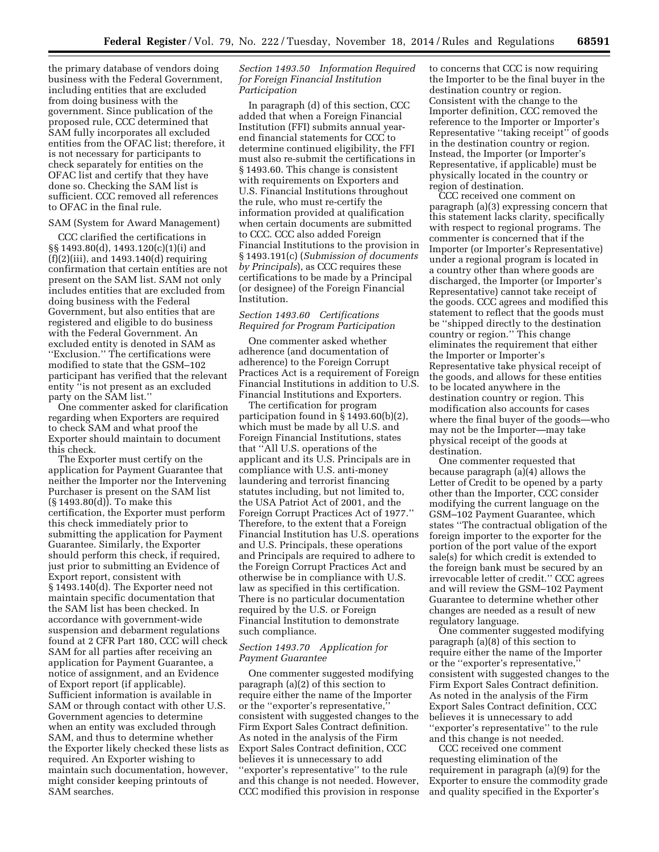the primary database of vendors doing business with the Federal Government, including entities that are excluded from doing business with the government. Since publication of the proposed rule, CCC determined that SAM fully incorporates all excluded entities from the OFAC list; therefore, it is not necessary for participants to check separately for entities on the OFAC list and certify that they have done so. Checking the SAM list is sufficient. CCC removed all references to OFAC in the final rule.

## SAM (System for Award Management)

CCC clarified the certifications in §§ 1493.80(d), 1493.120(c)(1)(i) and  $(f)(2)(iii)$ , and 1493.140 $(d)$  requiring confirmation that certain entities are not present on the SAM list. SAM not only includes entities that are excluded from doing business with the Federal Government, but also entities that are registered and eligible to do business with the Federal Government. An excluded entity is denoted in SAM as ''Exclusion.'' The certifications were modified to state that the GSM–102 participant has verified that the relevant entity ''is not present as an excluded party on the SAM list.''

One commenter asked for clarification regarding when Exporters are required to check SAM and what proof the Exporter should maintain to document this check.

The Exporter must certify on the application for Payment Guarantee that neither the Importer nor the Intervening Purchaser is present on the SAM list (§ 1493.80(d)). To make this certification, the Exporter must perform this check immediately prior to submitting the application for Payment Guarantee. Similarly, the Exporter should perform this check, if required, just prior to submitting an Evidence of Export report, consistent with § 1493.140(d). The Exporter need not maintain specific documentation that the SAM list has been checked. In accordance with government-wide suspension and debarment regulations found at 2 CFR Part 180, CCC will check SAM for all parties after receiving an application for Payment Guarantee, a notice of assignment, and an Evidence of Export report (if applicable). Sufficient information is available in SAM or through contact with other U.S. Government agencies to determine when an entity was excluded through SAM, and thus to determine whether the Exporter likely checked these lists as required. An Exporter wishing to maintain such documentation, however, might consider keeping printouts of SAM searches.

## *Section 1493.50 Information Required for Foreign Financial Institution Participation*

In paragraph (d) of this section, CCC added that when a Foreign Financial Institution (FFI) submits annual yearend financial statements for CCC to determine continued eligibility, the FFI must also re-submit the certifications in § 1493.60. This change is consistent with requirements on Exporters and U.S. Financial Institutions throughout the rule, who must re-certify the information provided at qualification when certain documents are submitted to CCC. CCC also added Foreign Financial Institutions to the provision in § 1493.191(c) (*Submission of documents by Principals*), as CCC requires these certifications to be made by a Principal (or designee) of the Foreign Financial Institution.

## *Section 1493.60 Certifications Required for Program Participation*

One commenter asked whether adherence (and documentation of adherence) to the Foreign Corrupt Practices Act is a requirement of Foreign Financial Institutions in addition to U.S. Financial Institutions and Exporters.

The certification for program participation found in § 1493.60(b)(2), which must be made by all U.S. and Foreign Financial Institutions, states that ''All U.S. operations of the applicant and its U.S. Principals are in compliance with U.S. anti-money laundering and terrorist financing statutes including, but not limited to, the USA Patriot Act of 2001, and the Foreign Corrupt Practices Act of 1977.'' Therefore, to the extent that a Foreign Financial Institution has U.S. operations and U.S. Principals, these operations and Principals are required to adhere to the Foreign Corrupt Practices Act and otherwise be in compliance with U.S. law as specified in this certification. There is no particular documentation required by the U.S. or Foreign Financial Institution to demonstrate such compliance.

## *Section 1493.70 Application for Payment Guarantee*

One commenter suggested modifying paragraph (a)(2) of this section to require either the name of the Importer or the ''exporter's representative,'' consistent with suggested changes to the Firm Export Sales Contract definition. As noted in the analysis of the Firm Export Sales Contract definition, CCC believes it is unnecessary to add "exporter's representative" to the rule and this change is not needed. However, CCC modified this provision in response to concerns that CCC is now requiring the Importer to be the final buyer in the destination country or region. Consistent with the change to the Importer definition, CCC removed the reference to the Importer or Importer's Representative ''taking receipt'' of goods in the destination country or region. Instead, the Importer (or Importer's Representative, if applicable) must be physically located in the country or region of destination.

CCC received one comment on paragraph (a)(3) expressing concern that this statement lacks clarity, specifically with respect to regional programs. The commenter is concerned that if the Importer (or Importer's Representative) under a regional program is located in a country other than where goods are discharged, the Importer (or Importer's Representative) cannot take receipt of the goods. CCC agrees and modified this statement to reflect that the goods must be ''shipped directly to the destination country or region.'' This change eliminates the requirement that either the Importer or Importer's Representative take physical receipt of the goods, and allows for these entities to be located anywhere in the destination country or region. This modification also accounts for cases where the final buyer of the goods—who may not be the Importer—may take physical receipt of the goods at destination.

One commenter requested that because paragraph  $(a)(4)$  allows the Letter of Credit to be opened by a party other than the Importer, CCC consider modifying the current language on the GSM–102 Payment Guarantee, which states ''The contractual obligation of the foreign importer to the exporter for the portion of the port value of the export sale(s) for which credit is extended to the foreign bank must be secured by an irrevocable letter of credit.'' CCC agrees and will review the GSM–102 Payment Guarantee to determine whether other changes are needed as a result of new regulatory language.

One commenter suggested modifying paragraph (a)(8) of this section to require either the name of the Importer or the "exporter's representative, consistent with suggested changes to the Firm Export Sales Contract definition. As noted in the analysis of the Firm Export Sales Contract definition, CCC believes it is unnecessary to add ''exporter's representative'' to the rule and this change is not needed.

CCC received one comment requesting elimination of the requirement in paragraph (a)(9) for the Exporter to ensure the commodity grade and quality specified in the Exporter's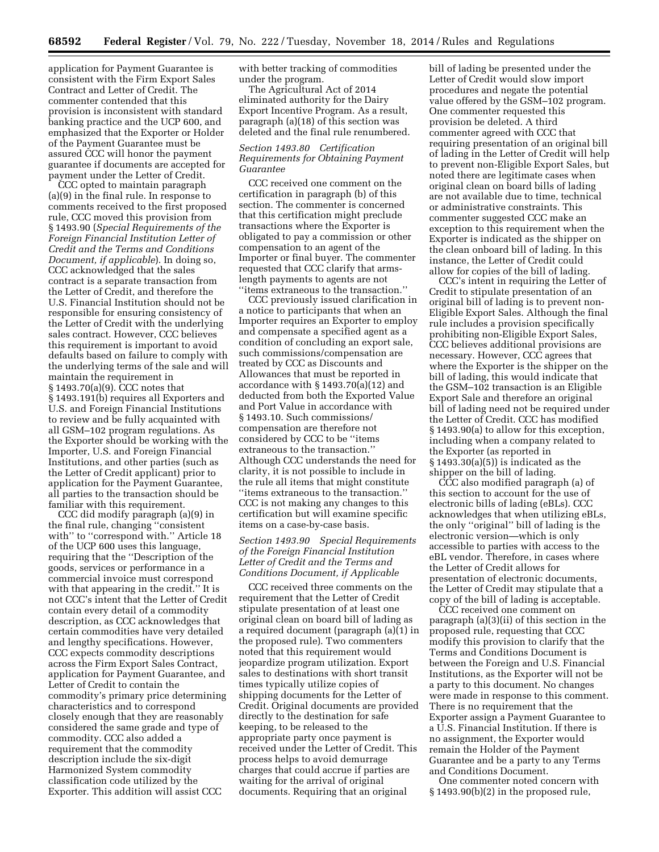application for Payment Guarantee is consistent with the Firm Export Sales Contract and Letter of Credit. The commenter contended that this provision is inconsistent with standard banking practice and the UCP 600, and emphasized that the Exporter or Holder of the Payment Guarantee must be assured CCC will honor the payment guarantee if documents are accepted for payment under the Letter of Credit.

CCC opted to maintain paragraph (a)(9) in the final rule. In response to comments received to the first proposed rule, CCC moved this provision from § 1493.90 (*Special Requirements of the Foreign Financial Institution Letter of Credit and the Terms and Conditions Document, if applicable*). In doing so, CCC acknowledged that the sales contract is a separate transaction from the Letter of Credit, and therefore the U.S. Financial Institution should not be responsible for ensuring consistency of the Letter of Credit with the underlying sales contract. However, CCC believes this requirement is important to avoid defaults based on failure to comply with the underlying terms of the sale and will maintain the requirement in § 1493.70(a)(9). CCC notes that § 1493.191(b) requires all Exporters and U.S. and Foreign Financial Institutions to review and be fully acquainted with all GSM–102 program regulations. As the Exporter should be working with the Importer, U.S. and Foreign Financial Institutions, and other parties (such as the Letter of Credit applicant) prior to application for the Payment Guarantee, all parties to the transaction should be familiar with this requirement.

CCC did modify paragraph (a)(9) in the final rule, changing ''consistent with" to "correspond with." Article 18 of the UCP 600 uses this language, requiring that the ''Description of the goods, services or performance in a commercial invoice must correspond with that appearing in the credit.'' It is not CCC's intent that the Letter of Credit contain every detail of a commodity description, as CCC acknowledges that certain commodities have very detailed and lengthy specifications. However, CCC expects commodity descriptions across the Firm Export Sales Contract, application for Payment Guarantee, and Letter of Credit to contain the commodity's primary price determining characteristics and to correspond closely enough that they are reasonably considered the same grade and type of commodity. CCC also added a requirement that the commodity description include the six-digit Harmonized System commodity classification code utilized by the Exporter. This addition will assist CCC

with better tracking of commodities under the program.

The Agricultural Act of 2014 eliminated authority for the Dairy Export Incentive Program. As a result, paragraph (a)(18) of this section was deleted and the final rule renumbered.

# *Section 1493.80 Certification Requirements for Obtaining Payment Guarantee*

CCC received one comment on the certification in paragraph (b) of this section. The commenter is concerned that this certification might preclude transactions where the Exporter is obligated to pay a commission or other compensation to an agent of the Importer or final buyer. The commenter requested that CCC clarify that armslength payments to agents are not ''items extraneous to the transaction.''

CCC previously issued clarification in a notice to participants that when an Importer requires an Exporter to employ and compensate a specified agent as a condition of concluding an export sale, such commissions/compensation are treated by CCC as Discounts and Allowances that must be reported in accordance with § 1493.70(a)(12) and deducted from both the Exported Value and Port Value in accordance with § 1493.10. Such commissions/ compensation are therefore not considered by CCC to be ''items extraneous to the transaction.'' Although CCC understands the need for clarity, it is not possible to include in the rule all items that might constitute ''items extraneous to the transaction.'' CCC is not making any changes to this certification but will examine specific items on a case-by-case basis.

# *Section 1493.90 Special Requirements of the Foreign Financial Institution Letter of Credit and the Terms and Conditions Document, if Applicable*

CCC received three comments on the requirement that the Letter of Credit stipulate presentation of at least one original clean on board bill of lading as a required document (paragraph (a)(1) in the proposed rule). Two commenters noted that this requirement would jeopardize program utilization. Export sales to destinations with short transit times typically utilize copies of shipping documents for the Letter of Credit. Original documents are provided directly to the destination for safe keeping, to be released to the appropriate party once payment is received under the Letter of Credit. This process helps to avoid demurrage charges that could accrue if parties are waiting for the arrival of original documents. Requiring that an original

bill of lading be presented under the Letter of Credit would slow import procedures and negate the potential value offered by the GSM–102 program. One commenter requested this provision be deleted. A third commenter agreed with CCC that requiring presentation of an original bill of lading in the Letter of Credit will help to prevent non-Eligible Export Sales, but noted there are legitimate cases when original clean on board bills of lading are not available due to time, technical or administrative constraints. This commenter suggested CCC make an exception to this requirement when the Exporter is indicated as the shipper on the clean onboard bill of lading. In this instance, the Letter of Credit could allow for copies of the bill of lading.

CCC's intent in requiring the Letter of Credit to stipulate presentation of an original bill of lading is to prevent non-Eligible Export Sales. Although the final rule includes a provision specifically prohibiting non-Eligible Export Sales, CCC believes additional provisions are necessary. However, CCC agrees that where the Exporter is the shipper on the bill of lading, this would indicate that the GSM–102 transaction is an Eligible Export Sale and therefore an original bill of lading need not be required under the Letter of Credit. CCC has modified § 1493.90(a) to allow for this exception, including when a company related to the Exporter (as reported in § 1493.30(a)(5)) is indicated as the shipper on the bill of lading.

CCC also modified paragraph (a) of this section to account for the use of electronic bills of lading (eBLs). CCC acknowledges that when utilizing eBLs, the only ''original'' bill of lading is the electronic version—which is only accessible to parties with access to the eBL vendor. Therefore, in cases where the Letter of Credit allows for presentation of electronic documents, the Letter of Credit may stipulate that a copy of the bill of lading is acceptable.

CCC received one comment on paragraph (a)(3)(ii) of this section in the proposed rule, requesting that CCC modify this provision to clarify that the Terms and Conditions Document is between the Foreign and U.S. Financial Institutions, as the Exporter will not be a party to this document. No changes were made in response to this comment. There is no requirement that the Exporter assign a Payment Guarantee to a U.S. Financial Institution. If there is no assignment, the Exporter would remain the Holder of the Payment Guarantee and be a party to any Terms and Conditions Document.

One commenter noted concern with § 1493.90(b)(2) in the proposed rule,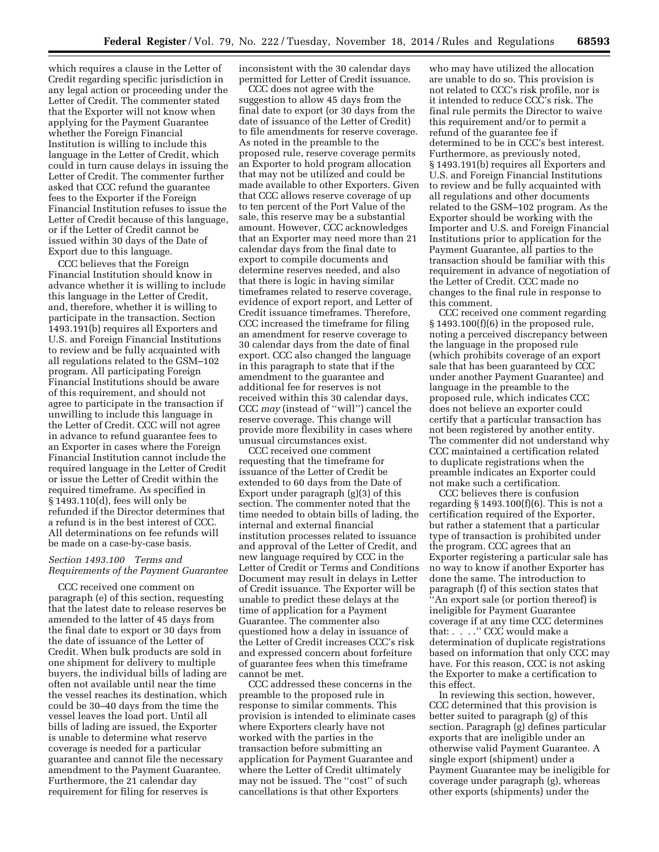which requires a clause in the Letter of Credit regarding specific jurisdiction in any legal action or proceeding under the Letter of Credit. The commenter stated that the Exporter will not know when applying for the Payment Guarantee whether the Foreign Financial Institution is willing to include this language in the Letter of Credit, which could in turn cause delays in issuing the Letter of Credit. The commenter further asked that CCC refund the guarantee fees to the Exporter if the Foreign Financial Institution refuses to issue the Letter of Credit because of this language, or if the Letter of Credit cannot be issued within 30 days of the Date of Export due to this language.

CCC believes that the Foreign Financial Institution should know in advance whether it is willing to include this language in the Letter of Credit, and, therefore, whether it is willing to participate in the transaction. Section 1493.191(b) requires all Exporters and U.S. and Foreign Financial Institutions to review and be fully acquainted with all regulations related to the GSM–102 program. All participating Foreign Financial Institutions should be aware of this requirement, and should not agree to participate in the transaction if unwilling to include this language in the Letter of Credit. CCC will not agree in advance to refund guarantee fees to an Exporter in cases where the Foreign Financial Institution cannot include the required language in the Letter of Credit or issue the Letter of Credit within the required timeframe. As specified in § 1493.110(d), fees will only be refunded if the Director determines that a refund is in the best interest of CCC. All determinations on fee refunds will be made on a case-by-case basis.

## *Section 1493.100 Terms and Requirements of the Payment Guarantee*

CCC received one comment on paragraph (e) of this section, requesting that the latest date to release reserves be amended to the latter of 45 days from the final date to export or 30 days from the date of issuance of the Letter of Credit. When bulk products are sold in one shipment for delivery to multiple buyers, the individual bills of lading are often not available until near the time the vessel reaches its destination, which could be 30–40 days from the time the vessel leaves the load port. Until all bills of lading are issued, the Exporter is unable to determine what reserve coverage is needed for a particular guarantee and cannot file the necessary amendment to the Payment Guarantee. Furthermore, the 21 calendar day requirement for filing for reserves is

inconsistent with the 30 calendar days permitted for Letter of Credit issuance.

CCC does not agree with the suggestion to allow 45 days from the final date to export (or 30 days from the date of issuance of the Letter of Credit) to file amendments for reserve coverage. As noted in the preamble to the proposed rule, reserve coverage permits an Exporter to hold program allocation that may not be utilized and could be made available to other Exporters. Given that CCC allows reserve coverage of up to ten percent of the Port Value of the sale, this reserve may be a substantial amount. However, CCC acknowledges that an Exporter may need more than 21 calendar days from the final date to export to compile documents and determine reserves needed, and also that there is logic in having similar timeframes related to reserve coverage, evidence of export report, and Letter of Credit issuance timeframes. Therefore, CCC increased the timeframe for filing an amendment for reserve coverage to 30 calendar days from the date of final export. CCC also changed the language in this paragraph to state that if the amendment to the guarantee and additional fee for reserves is not received within this 30 calendar days, CCC *may* (instead of ''will'') cancel the reserve coverage. This change will provide more flexibility in cases where unusual circumstances exist.

CCC received one comment requesting that the timeframe for issuance of the Letter of Credit be extended to 60 days from the Date of Export under paragraph (g)(3) of this section. The commenter noted that the time needed to obtain bills of lading, the internal and external financial institution processes related to issuance and approval of the Letter of Credit, and new language required by CCC in the Letter of Credit or Terms and Conditions Document may result in delays in Letter of Credit issuance. The Exporter will be unable to predict these delays at the time of application for a Payment Guarantee. The commenter also questioned how a delay in issuance of the Letter of Credit increases CCC's risk and expressed concern about forfeiture of guarantee fees when this timeframe cannot be met.

CCC addressed these concerns in the preamble to the proposed rule in response to similar comments. This provision is intended to eliminate cases where Exporters clearly have not worked with the parties in the transaction before submitting an application for Payment Guarantee and where the Letter of Credit ultimately may not be issued. The ''cost'' of such cancellations is that other Exporters

who may have utilized the allocation are unable to do so. This provision is not related to CCC's risk profile, nor is it intended to reduce CCC's risk. The final rule permits the Director to waive this requirement and/or to permit a refund of the guarantee fee if determined to be in CCC's best interest. Furthermore, as previously noted, § 1493.191(b) requires all Exporters and U.S. and Foreign Financial Institutions to review and be fully acquainted with all regulations and other documents related to the GSM–102 program. As the Exporter should be working with the Importer and U.S. and Foreign Financial Institutions prior to application for the Payment Guarantee, all parties to the transaction should be familiar with this requirement in advance of negotiation of the Letter of Credit. CCC made no changes to the final rule in response to this comment.

CCC received one comment regarding  $§ 1493.100(f)(6)$  in the proposed rule, noting a perceived discrepancy between the language in the proposed rule (which prohibits coverage of an export sale that has been guaranteed by CCC under another Payment Guarantee) and language in the preamble to the proposed rule, which indicates CCC does not believe an exporter could certify that a particular transaction has not been registered by another entity. The commenter did not understand why CCC maintained a certification related to duplicate registrations when the preamble indicates an Exporter could not make such a certification.

CCC believes there is confusion regarding § 1493.100(f)(6). This is not a certification required of the Exporter, but rather a statement that a particular type of transaction is prohibited under the program. CCC agrees that an Exporter registering a particular sale has no way to know if another Exporter has done the same. The introduction to paragraph (f) of this section states that ''An export sale (or portion thereof) is ineligible for Payment Guarantee coverage if at any time CCC determines that: . . . . . " CCC would make a determination of duplicate registrations based on information that only CCC may have. For this reason, CCC is not asking the Exporter to make a certification to this effect.

In reviewing this section, however, CCC determined that this provision is better suited to paragraph (g) of this section. Paragraph (g) defines particular exports that are ineligible under an otherwise valid Payment Guarantee. A single export (shipment) under a Payment Guarantee may be ineligible for coverage under paragraph (g), whereas other exports (shipments) under the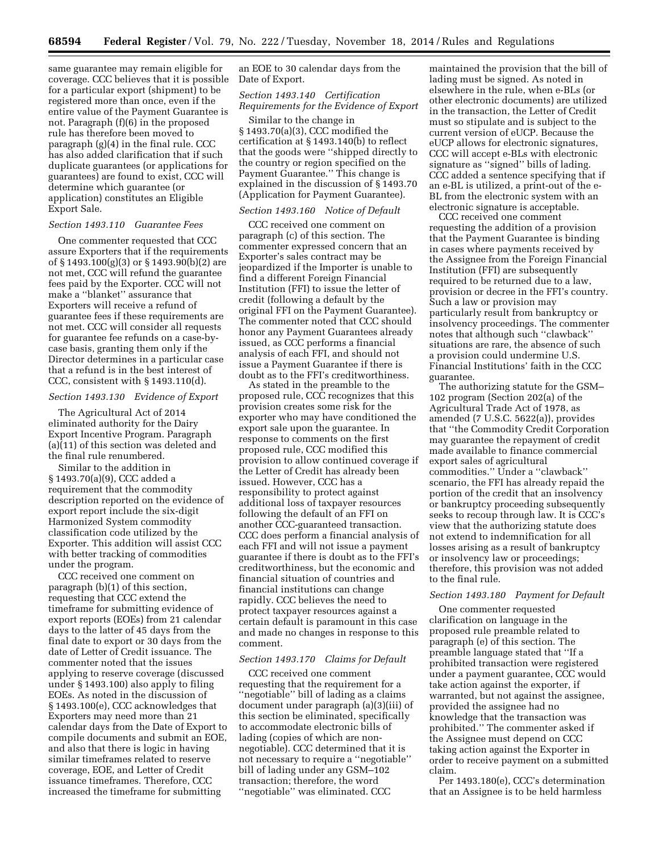same guarantee may remain eligible for coverage. CCC believes that it is possible for a particular export (shipment) to be registered more than once, even if the entire value of the Payment Guarantee is not. Paragraph (f)(6) in the proposed rule has therefore been moved to paragraph (g)(4) in the final rule. CCC has also added clarification that if such duplicate guarantees (or applications for guarantees) are found to exist, CCC will determine which guarantee (or application) constitutes an Eligible Export Sale.

# *Section 1493.110 Guarantee Fees*

One commenter requested that CCC assure Exporters that if the requirements of § 1493.100(g)(3) or § 1493.90(b)(2) are not met, CCC will refund the guarantee fees paid by the Exporter. CCC will not make a ''blanket'' assurance that Exporters will receive a refund of guarantee fees if these requirements are not met. CCC will consider all requests for guarantee fee refunds on a case-bycase basis, granting them only if the Director determines in a particular case that a refund is in the best interest of CCC, consistent with § 1493.110(d).

#### *Section 1493.130 Evidence of Export*

The Agricultural Act of 2014 eliminated authority for the Dairy Export Incentive Program. Paragraph (a)(11) of this section was deleted and the final rule renumbered.

Similar to the addition in § 1493.70(a)(9), CCC added a requirement that the commodity description reported on the evidence of export report include the six-digit Harmonized System commodity classification code utilized by the Exporter. This addition will assist CCC with better tracking of commodities under the program.

CCC received one comment on paragraph (b)(1) of this section, requesting that CCC extend the timeframe for submitting evidence of export reports (EOEs) from 21 calendar days to the latter of 45 days from the final date to export or 30 days from the date of Letter of Credit issuance. The commenter noted that the issues applying to reserve coverage (discussed under § 1493.100) also apply to filing EOEs. As noted in the discussion of § 1493.100(e), CCC acknowledges that Exporters may need more than 21 calendar days from the Date of Export to compile documents and submit an EOE, and also that there is logic in having similar timeframes related to reserve coverage, EOE, and Letter of Credit issuance timeframes. Therefore, CCC increased the timeframe for submitting

an EOE to 30 calendar days from the Date of Export.

# *Section 1493.140 Certification Requirements for the Evidence of Export*

Similar to the change in § 1493.70(a)(3), CCC modified the certification at § 1493.140(b) to reflect that the goods were ''shipped directly to the country or region specified on the Payment Guarantee.'' This change is explained in the discussion of § 1493.70 (Application for Payment Guarantee).

## *Section 1493.160 Notice of Default*

CCC received one comment on paragraph (c) of this section. The commenter expressed concern that an Exporter's sales contract may be jeopardized if the Importer is unable to find a different Foreign Financial Institution (FFI) to issue the letter of credit (following a default by the original FFI on the Payment Guarantee). The commenter noted that CCC should honor any Payment Guarantees already issued, as CCC performs a financial analysis of each FFI, and should not issue a Payment Guarantee if there is doubt as to the FFI's creditworthiness.

As stated in the preamble to the proposed rule, CCC recognizes that this provision creates some risk for the exporter who may have conditioned the export sale upon the guarantee. In response to comments on the first proposed rule, CCC modified this provision to allow continued coverage if the Letter of Credit has already been issued. However, CCC has a responsibility to protect against additional loss of taxpayer resources following the default of an FFI on another CCC-guaranteed transaction. CCC does perform a financial analysis of each FFI and will not issue a payment guarantee if there is doubt as to the FFI's creditworthiness, but the economic and financial situation of countries and financial institutions can change rapidly. CCC believes the need to protect taxpayer resources against a certain default is paramount in this case and made no changes in response to this comment.

## *Section 1493.170 Claims for Default*

CCC received one comment requesting that the requirement for a ''negotiable'' bill of lading as a claims document under paragraph (a)(3)(iii) of this section be eliminated, specifically to accommodate electronic bills of lading (copies of which are nonnegotiable). CCC determined that it is not necessary to require a ''negotiable'' bill of lading under any GSM–102 transaction; therefore, the word ''negotiable'' was eliminated. CCC

maintained the provision that the bill of lading must be signed. As noted in elsewhere in the rule, when e-BLs (or other electronic documents) are utilized in the transaction, the Letter of Credit must so stipulate and is subject to the current version of eUCP. Because the eUCP allows for electronic signatures, CCC will accept e-BLs with electronic signature as ''signed'' bills of lading. CCC added a sentence specifying that if an e-BL is utilized, a print-out of the e-BL from the electronic system with an electronic signature is acceptable.

CCC received one comment requesting the addition of a provision that the Payment Guarantee is binding in cases where payments received by the Assignee from the Foreign Financial Institution (FFI) are subsequently required to be returned due to a law, provision or decree in the FFI's country. Such a law or provision may particularly result from bankruptcy or insolvency proceedings. The commenter notes that although such ''clawback'' situations are rare, the absence of such a provision could undermine U.S. Financial Institutions' faith in the CCC guarantee.

The authorizing statute for the GSM– 102 program (Section 202(a) of the Agricultural Trade Act of 1978, as amended (7 U.S.C. 5622(a)), provides that ''the Commodity Credit Corporation may guarantee the repayment of credit made available to finance commercial export sales of agricultural commodities.'' Under a ''clawback'' scenario, the FFI has already repaid the portion of the credit that an insolvency or bankruptcy proceeding subsequently seeks to recoup through law. It is CCC's view that the authorizing statute does not extend to indemnification for all losses arising as a result of bankruptcy or insolvency law or proceedings; therefore, this provision was not added to the final rule.

#### *Section 1493.180 Payment for Default*

One commenter requested clarification on language in the proposed rule preamble related to paragraph (e) of this section. The preamble language stated that ''If a prohibited transaction were registered under a payment guarantee, CCC would take action against the exporter, if warranted, but not against the assignee, provided the assignee had no knowledge that the transaction was prohibited.'' The commenter asked if the Assignee must depend on CCC taking action against the Exporter in order to receive payment on a submitted claim.

Per 1493.180(e), CCC's determination that an Assignee is to be held harmless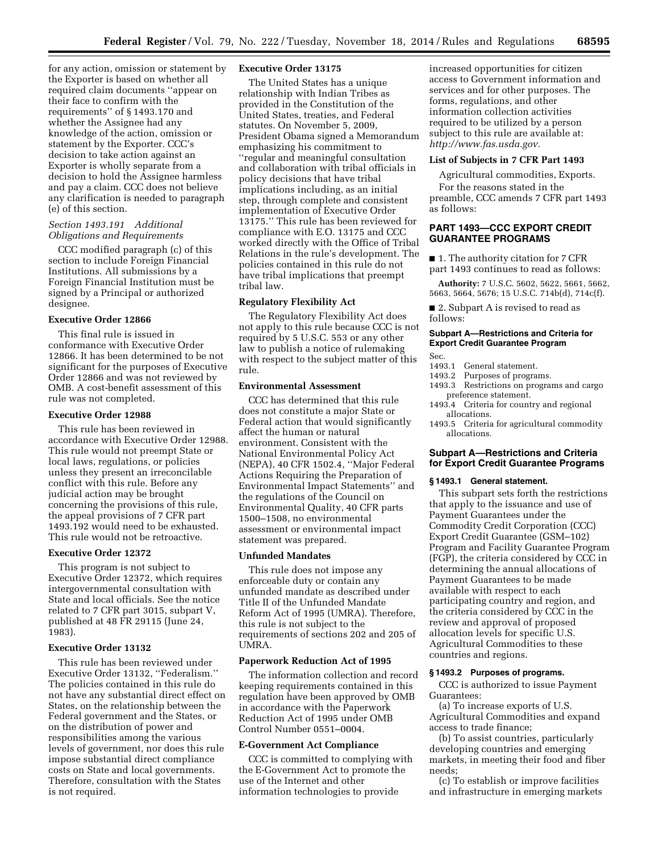for any action, omission or statement by the Exporter is based on whether all required claim documents ''appear on their face to confirm with the requirements'' of § 1493.170 and whether the Assignee had any knowledge of the action, omission or statement by the Exporter. CCC's decision to take action against an Exporter is wholly separate from a decision to hold the Assignee harmless and pay a claim. CCC does not believe any clarification is needed to paragraph (e) of this section.

# *Section 1493.191 Additional Obligations and Requirements*

CCC modified paragraph (c) of this section to include Foreign Financial Institutions. All submissions by a Foreign Financial Institution must be signed by a Principal or authorized designee.

#### **Executive Order 12866**

This final rule is issued in conformance with Executive Order 12866. It has been determined to be not significant for the purposes of Executive Order 12866 and was not reviewed by OMB. A cost-benefit assessment of this rule was not completed.

## **Executive Order 12988**

This rule has been reviewed in accordance with Executive Order 12988. This rule would not preempt State or local laws, regulations, or policies unless they present an irreconcilable conflict with this rule. Before any judicial action may be brought concerning the provisions of this rule, the appeal provisions of 7 CFR part 1493.192 would need to be exhausted. This rule would not be retroactive.

#### **Executive Order 12372**

This program is not subject to Executive Order 12372, which requires intergovernmental consultation with State and local officials. See the notice related to 7 CFR part 3015, subpart V, published at 48 FR 29115 (June 24, 1983).

## **Executive Order 13132**

This rule has been reviewed under Executive Order 13132, ''Federalism.'' The policies contained in this rule do not have any substantial direct effect on States, on the relationship between the Federal government and the States, or on the distribution of power and responsibilities among the various levels of government, nor does this rule impose substantial direct compliance costs on State and local governments. Therefore, consultation with the States is not required.

## **Executive Order 13175**

The United States has a unique relationship with Indian Tribes as provided in the Constitution of the United States, treaties, and Federal statutes. On November 5, 2009, President Obama signed a Memorandum emphasizing his commitment to ''regular and meaningful consultation and collaboration with tribal officials in policy decisions that have tribal implications including, as an initial step, through complete and consistent implementation of Executive Order 13175.'' This rule has been reviewed for compliance with E.O. 13175 and CCC worked directly with the Office of Tribal Relations in the rule's development. The policies contained in this rule do not have tribal implications that preempt tribal law.

# **Regulatory Flexibility Act**

The Regulatory Flexibility Act does not apply to this rule because CCC is not required by 5 U.S.C. 553 or any other law to publish a notice of rulemaking with respect to the subject matter of this rule.

## **Environmental Assessment**

CCC has determined that this rule does not constitute a major State or Federal action that would significantly affect the human or natural environment. Consistent with the National Environmental Policy Act (NEPA), 40 CFR 1502.4, ''Major Federal Actions Requiring the Preparation of Environmental Impact Statements'' and the regulations of the Council on Environmental Quality, 40 CFR parts 1500–1508, no environmental assessment or environmental impact statement was prepared.

#### **Unfunded Mandates**

This rule does not impose any enforceable duty or contain any unfunded mandate as described under Title II of the Unfunded Mandate Reform Act of 1995 (UMRA). Therefore, this rule is not subject to the requirements of sections 202 and 205 of UMRA.

## **Paperwork Reduction Act of 1995**

The information collection and record keeping requirements contained in this regulation have been approved by OMB in accordance with the Paperwork Reduction Act of 1995 under OMB Control Number 0551–0004.

#### **E-Government Act Compliance**

CCC is committed to complying with the E-Government Act to promote the use of the Internet and other information technologies to provide

increased opportunities for citizen access to Government information and services and for other purposes. The forms, regulations, and other information collection activities required to be utilized by a person subject to this rule are available at: *[http://www.fas.usda.gov.](http://www.fas.usda.gov)* 

## **List of Subjects in 7 CFR Part 1493**

Agricultural commodities, Exports.

For the reasons stated in the preamble, CCC amends 7 CFR part 1493 as follows:

## **PART 1493—CCC EXPORT CREDIT GUARANTEE PROGRAMS**

■ 1. The authority citation for 7 CFR part 1493 continues to read as follows:

**Authority:** 7 U.S.C. 5602, 5622, 5661, 5662, 5663, 5664, 5676; 15 U.S.C. 714b(d), 714c(f).

■ 2. Subpart A is revised to read as follows:

# **Subpart A—Restrictions and Criteria for Export Credit Guarantee Program**

#### Sec.

- 1493.1 General statement.<br>1493.2 Purposes of progra
- 1493.2 Purposes of programs.<br>1493.3 Restrictions on program
- Restrictions on programs and cargo preference statement.
- 1493.4 Criteria for country and regional allocations.
- 1493.5 Criteria for agricultural commodity allocations.

## **Subpart A—Restrictions and Criteria for Export Credit Guarantee Programs**

#### **§ 1493.1 General statement.**

This subpart sets forth the restrictions that apply to the issuance and use of Payment Guarantees under the Commodity Credit Corporation (CCC) Export Credit Guarantee (GSM–102) Program and Facility Guarantee Program (FGP), the criteria considered by CCC in determining the annual allocations of Payment Guarantees to be made available with respect to each participating country and region, and the criteria considered by CCC in the review and approval of proposed allocation levels for specific U.S. Agricultural Commodities to these countries and regions.

## **§ 1493.2 Purposes of programs.**

CCC is authorized to issue Payment Guarantees:

(a) To increase exports of U.S. Agricultural Commodities and expand access to trade finance;

(b) To assist countries, particularly developing countries and emerging markets, in meeting their food and fiber needs;

(c) To establish or improve facilities and infrastructure in emerging markets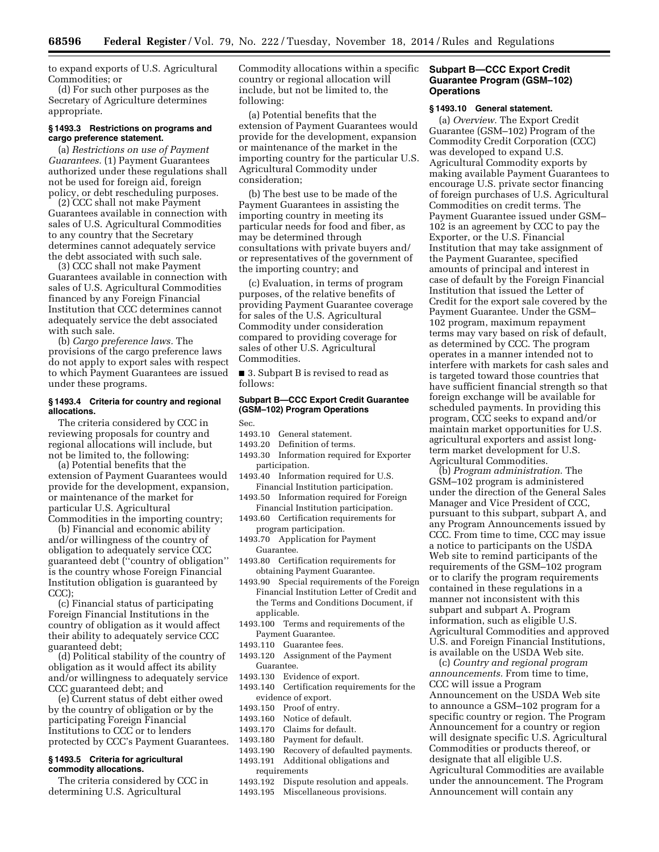to expand exports of U.S. Agricultural Commodities; or

(d) For such other purposes as the Secretary of Agriculture determines appropriate.

## **§ 1493.3 Restrictions on programs and cargo preference statement.**

(a) *Restrictions on use of Payment Guarantees.* (1) Payment Guarantees authorized under these regulations shall not be used for foreign aid, foreign policy, or debt rescheduling purposes.

(2) CCC shall not make Payment Guarantees available in connection with sales of U.S. Agricultural Commodities to any country that the Secretary determines cannot adequately service the debt associated with such sale.

(3) CCC shall not make Payment Guarantees available in connection with sales of U.S. Agricultural Commodities financed by any Foreign Financial Institution that CCC determines cannot adequately service the debt associated with such sale.

(b) *Cargo preference laws.* The provisions of the cargo preference laws do not apply to export sales with respect to which Payment Guarantees are issued under these programs.

## **§ 1493.4 Criteria for country and regional allocations.**

The criteria considered by CCC in reviewing proposals for country and regional allocations will include, but not be limited to, the following:

(a) Potential benefits that the extension of Payment Guarantees would provide for the development, expansion, or maintenance of the market for particular U.S. Agricultural Commodities in the importing country;

(b) Financial and economic ability and/or willingness of the country of obligation to adequately service CCC guaranteed debt (''country of obligation'' is the country whose Foreign Financial Institution obligation is guaranteed by CCC);

(c) Financial status of participating Foreign Financial Institutions in the country of obligation as it would affect their ability to adequately service CCC guaranteed debt;

(d) Political stability of the country of obligation as it would affect its ability and/or willingness to adequately service CCC guaranteed debt; and

(e) Current status of debt either owed by the country of obligation or by the participating Foreign Financial Institutions to CCC or to lenders protected by CCC's Payment Guarantees.

## **§ 1493.5 Criteria for agricultural commodity allocations.**

The criteria considered by CCC in determining U.S. Agricultural

Commodity allocations within a specific country or regional allocation will include, but not be limited to, the following:

(a) Potential benefits that the extension of Payment Guarantees would provide for the development, expansion or maintenance of the market in the importing country for the particular U.S. Agricultural Commodity under consideration;

(b) The best use to be made of the Payment Guarantees in assisting the importing country in meeting its particular needs for food and fiber, as may be determined through consultations with private buyers and/ or representatives of the government of the importing country; and

(c) Evaluation, in terms of program purposes, of the relative benefits of providing Payment Guarantee coverage for sales of the U.S. Agricultural Commodity under consideration compared to providing coverage for sales of other U.S. Agricultural Commodities.

■ 3. Subpart B is revised to read as follows:

## **Subpart B—CCC Export Credit Guarantee (GSM–102) Program Operations**

Sec.

- 1493.10 General statement.
- 1493.20 Definition of terms.
- 1493.30 Information required for Exporter participation.
- 1493.40 Information required for U.S. Financial Institution participation.
- 1493.50 Information required for Foreign Financial Institution participation.
- 1493.60 Certification requirements for program participation.
- 1493.70 Application for Payment Guarantee.
- 1493.80 Certification requirements for obtaining Payment Guarantee.
- 1493.90 Special requirements of the Foreign Financial Institution Letter of Credit and the Terms and Conditions Document, if applicable.
- 1493.100 Terms and requirements of the Payment Guarantee.
- 1493.110 Guarantee fees.
- 1493.120 Assignment of the Payment Guarantee.
- 1493.130 Evidence of export.
- 1493.140 Certification requirements for the evidence of export.
- 1493.150 Proof of entry.
- 1493.160 Notice of default.
- 1493.170 Claims for default.
- 1493.180 Payment for default.
- 1493.190 Recovery of defaulted payments.
- 1493.191 Additional obligations and requirements
- 1493.192 Dispute resolution and appeals.
- 1493.195 Miscellaneous provisions.

## **Subpart B—CCC Export Credit Guarantee Program (GSM–102) Operations**

## **§ 1493.10 General statement.**

(a) *Overview.* The Export Credit Guarantee (GSM–102) Program of the Commodity Credit Corporation (CCC) was developed to expand U.S. Agricultural Commodity exports by making available Payment Guarantees to encourage U.S. private sector financing of foreign purchases of U.S. Agricultural Commodities on credit terms. The Payment Guarantee issued under GSM– 102 is an agreement by CCC to pay the Exporter, or the U.S. Financial Institution that may take assignment of the Payment Guarantee, specified amounts of principal and interest in case of default by the Foreign Financial Institution that issued the Letter of Credit for the export sale covered by the Payment Guarantee. Under the GSM– 102 program, maximum repayment terms may vary based on risk of default, as determined by CCC. The program operates in a manner intended not to interfere with markets for cash sales and is targeted toward those countries that have sufficient financial strength so that foreign exchange will be available for scheduled payments. In providing this program, CCC seeks to expand and/or maintain market opportunities for U.S. agricultural exporters and assist longterm market development for U.S. Agricultural Commodities.

(b) *Program administration.* The GSM–102 program is administered under the direction of the General Sales Manager and Vice President of CCC, pursuant to this subpart, subpart A, and any Program Announcements issued by CCC. From time to time, CCC may issue a notice to participants on the USDA Web site to remind participants of the requirements of the GSM–102 program or to clarify the program requirements contained in these regulations in a manner not inconsistent with this subpart and subpart A. Program information, such as eligible U.S. Agricultural Commodities and approved U.S. and Foreign Financial Institutions, is available on the USDA Web site.

(c) *Country and regional program announcements.* From time to time, CCC will issue a Program Announcement on the USDA Web site to announce a GSM–102 program for a specific country or region. The Program Announcement for a country or region will designate specific U.S. Agricultural Commodities or products thereof, or designate that all eligible U.S. Agricultural Commodities are available under the announcement. The Program Announcement will contain any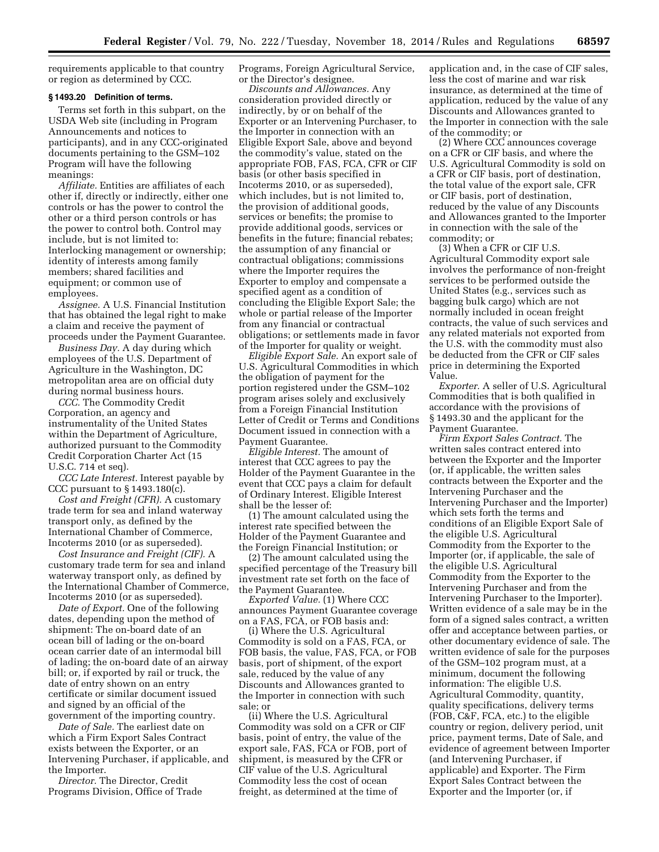requirements applicable to that country or region as determined by CCC.

#### **§ 1493.20 Definition of terms.**

Terms set forth in this subpart, on the USDA Web site (including in Program Announcements and notices to participants), and in any CCC-originated documents pertaining to the GSM–102 Program will have the following meanings:

*Affiliate.* Entities are affiliates of each other if, directly or indirectly, either one controls or has the power to control the other or a third person controls or has the power to control both. Control may include, but is not limited to: Interlocking management or ownership; identity of interests among family members; shared facilities and equipment; or common use of employees.

*Assignee.* A U.S. Financial Institution that has obtained the legal right to make a claim and receive the payment of proceeds under the Payment Guarantee.

*Business Day.* A day during which employees of the U.S. Department of Agriculture in the Washington, DC metropolitan area are on official duty during normal business hours.

*CCC.* The Commodity Credit Corporation, an agency and instrumentality of the United States within the Department of Agriculture, authorized pursuant to the Commodity Credit Corporation Charter Act (15 U.S.C. 714 et seq).

*CCC Late Interest.* Interest payable by CCC pursuant to § 1493.180(c).

*Cost and Freight (CFR).* A customary trade term for sea and inland waterway transport only, as defined by the International Chamber of Commerce, Incoterms 2010 (or as superseded).

*Cost Insurance and Freight (CIF).* A customary trade term for sea and inland waterway transport only, as defined by the International Chamber of Commerce, Incoterms 2010 (or as superseded).

*Date of Export.* One of the following dates, depending upon the method of shipment: The on-board date of an ocean bill of lading or the on-board ocean carrier date of an intermodal bill of lading; the on-board date of an airway bill; or, if exported by rail or truck, the date of entry shown on an entry certificate or similar document issued and signed by an official of the government of the importing country.

*Date of Sale.* The earliest date on which a Firm Export Sales Contract exists between the Exporter, or an Intervening Purchaser, if applicable, and the Importer.

*Director.* The Director, Credit Programs Division, Office of Trade Programs, Foreign Agricultural Service, or the Director's designee.

*Discounts and Allowances.* Any consideration provided directly or indirectly, by or on behalf of the Exporter or an Intervening Purchaser, to the Importer in connection with an Eligible Export Sale, above and beyond the commodity's value, stated on the appropriate FOB, FAS, FCA, CFR or CIF basis (or other basis specified in Incoterms 2010, or as superseded), which includes, but is not limited to, the provision of additional goods, services or benefits; the promise to provide additional goods, services or benefits in the future; financial rebates; the assumption of any financial or contractual obligations; commissions where the Importer requires the Exporter to employ and compensate a specified agent as a condition of concluding the Eligible Export Sale; the whole or partial release of the Importer from any financial or contractual obligations; or settlements made in favor of the Importer for quality or weight.

*Eligible Export Sale.* An export sale of U.S. Agricultural Commodities in which the obligation of payment for the portion registered under the GSM–102 program arises solely and exclusively from a Foreign Financial Institution Letter of Credit or Terms and Conditions Document issued in connection with a Payment Guarantee.

*Eligible Interest.* The amount of interest that CCC agrees to pay the Holder of the Payment Guarantee in the event that CCC pays a claim for default of Ordinary Interest. Eligible Interest shall be the lesser of:

(1) The amount calculated using the interest rate specified between the Holder of the Payment Guarantee and the Foreign Financial Institution; or

(2) The amount calculated using the specified percentage of the Treasury bill investment rate set forth on the face of the Payment Guarantee.

*Exported Value.* (1) Where CCC announces Payment Guarantee coverage on a FAS, FCA, or FOB basis and:

(i) Where the U.S. Agricultural Commodity is sold on a FAS, FCA, or FOB basis, the value, FAS, FCA, or FOB basis, port of shipment, of the export sale, reduced by the value of any Discounts and Allowances granted to the Importer in connection with such sale; or

(ii) Where the U.S. Agricultural Commodity was sold on a CFR or CIF basis, point of entry, the value of the export sale, FAS, FCA or FOB, port of shipment, is measured by the CFR or CIF value of the U.S. Agricultural Commodity less the cost of ocean freight, as determined at the time of

application and, in the case of CIF sales, less the cost of marine and war risk insurance, as determined at the time of application, reduced by the value of any Discounts and Allowances granted to the Importer in connection with the sale of the commodity; or

(2) Where CCC announces coverage on a CFR or CIF basis, and where the U.S. Agricultural Commodity is sold on a CFR or CIF basis, port of destination, the total value of the export sale, CFR or CIF basis, port of destination, reduced by the value of any Discounts and Allowances granted to the Importer in connection with the sale of the commodity; or

(3) When a CFR or CIF U.S. Agricultural Commodity export sale involves the performance of non-freight services to be performed outside the United States (e.g., services such as bagging bulk cargo) which are not normally included in ocean freight contracts, the value of such services and any related materials not exported from the U.S. with the commodity must also be deducted from the CFR or CIF sales price in determining the Exported Value.

*Exporter.* A seller of U.S. Agricultural Commodities that is both qualified in accordance with the provisions of § 1493.30 and the applicant for the Payment Guarantee.

*Firm Export Sales Contract.* The written sales contract entered into between the Exporter and the Importer (or, if applicable, the written sales contracts between the Exporter and the Intervening Purchaser and the Intervening Purchaser and the Importer) which sets forth the terms and conditions of an Eligible Export Sale of the eligible U.S. Agricultural Commodity from the Exporter to the Importer (or, if applicable, the sale of the eligible U.S. Agricultural Commodity from the Exporter to the Intervening Purchaser and from the Intervening Purchaser to the Importer). Written evidence of a sale may be in the form of a signed sales contract, a written offer and acceptance between parties, or other documentary evidence of sale. The written evidence of sale for the purposes of the GSM–102 program must, at a minimum, document the following information: The eligible U.S. Agricultural Commodity, quantity, quality specifications, delivery terms (FOB, C&F, FCA, etc.) to the eligible country or region, delivery period, unit price, payment terms, Date of Sale, and evidence of agreement between Importer (and Intervening Purchaser, if applicable) and Exporter. The Firm Export Sales Contract between the Exporter and the Importer (or, if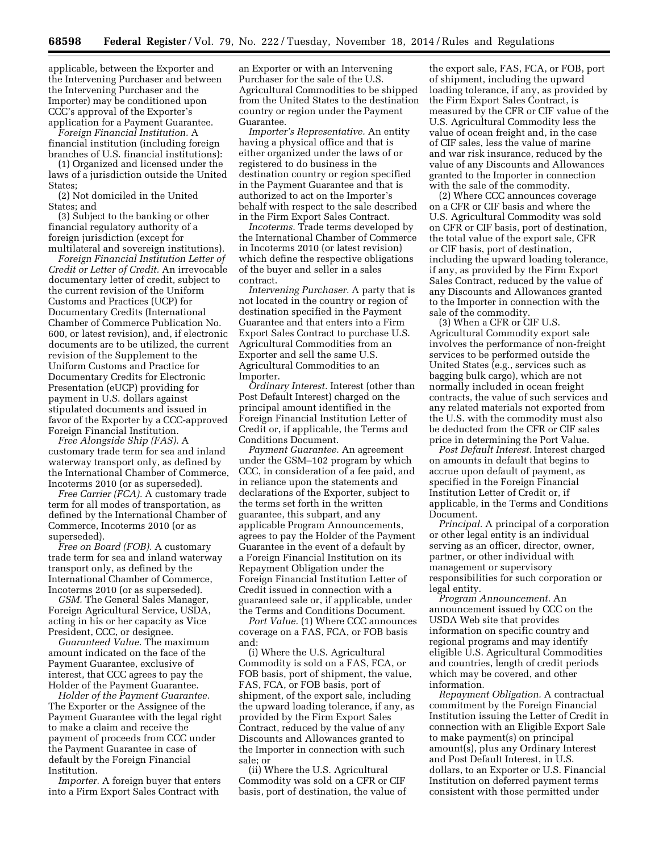applicable, between the Exporter and the Intervening Purchaser and between the Intervening Purchaser and the Importer) may be conditioned upon CCC's approval of the Exporter's application for a Payment Guarantee.

*Foreign Financial Institution.* A financial institution (including foreign branches of U.S. financial institutions):

(1) Organized and licensed under the laws of a jurisdiction outside the United States;

(2) Not domiciled in the United States; and

(3) Subject to the banking or other financial regulatory authority of a foreign jurisdiction (except for multilateral and sovereign institutions).

*Foreign Financial Institution Letter of Credit or Letter of Credit.* An irrevocable documentary letter of credit, subject to the current revision of the Uniform Customs and Practices (UCP) for Documentary Credits (International Chamber of Commerce Publication No. 600, or latest revision), and, if electronic documents are to be utilized, the current revision of the Supplement to the Uniform Customs and Practice for Documentary Credits for Electronic Presentation (eUCP) providing for payment in U.S. dollars against stipulated documents and issued in favor of the Exporter by a CCC-approved Foreign Financial Institution.

*Free Alongside Ship (FAS).* A customary trade term for sea and inland waterway transport only, as defined by the International Chamber of Commerce, Incoterms 2010 (or as superseded).

*Free Carrier (FCA).* A customary trade term for all modes of transportation, as defined by the International Chamber of Commerce, Incoterms 2010 (or as superseded).

*Free on Board (FOB).* A customary trade term for sea and inland waterway transport only, as defined by the International Chamber of Commerce, Incoterms 2010 (or as superseded).

*GSM.* The General Sales Manager, Foreign Agricultural Service, USDA, acting in his or her capacity as Vice President, CCC, or designee.

*Guaranteed Value.* The maximum amount indicated on the face of the Payment Guarantee, exclusive of interest, that CCC agrees to pay the Holder of the Payment Guarantee.

*Holder of the Payment Guarantee.*  The Exporter or the Assignee of the Payment Guarantee with the legal right to make a claim and receive the payment of proceeds from CCC under the Payment Guarantee in case of default by the Foreign Financial Institution.

*Importer.* A foreign buyer that enters into a Firm Export Sales Contract with

an Exporter or with an Intervening Purchaser for the sale of the U.S. Agricultural Commodities to be shipped from the United States to the destination country or region under the Payment Guarantee.

*Importer's Representative.* An entity having a physical office and that is either organized under the laws of or registered to do business in the destination country or region specified in the Payment Guarantee and that is authorized to act on the Importer's behalf with respect to the sale described in the Firm Export Sales Contract.

*Incoterms.* Trade terms developed by the International Chamber of Commerce in Incoterms 2010 (or latest revision) which define the respective obligations of the buyer and seller in a sales contract.

*Intervening Purchaser.* A party that is not located in the country or region of destination specified in the Payment Guarantee and that enters into a Firm Export Sales Contract to purchase U.S. Agricultural Commodities from an Exporter and sell the same U.S. Agricultural Commodities to an Importer.

*Ordinary Interest.* Interest (other than Post Default Interest) charged on the principal amount identified in the Foreign Financial Institution Letter of Credit or, if applicable, the Terms and Conditions Document.

*Payment Guarantee.* An agreement under the GSM–102 program by which CCC, in consideration of a fee paid, and in reliance upon the statements and declarations of the Exporter, subject to the terms set forth in the written guarantee, this subpart, and any applicable Program Announcements, agrees to pay the Holder of the Payment Guarantee in the event of a default by a Foreign Financial Institution on its Repayment Obligation under the Foreign Financial Institution Letter of Credit issued in connection with a guaranteed sale or, if applicable, under the Terms and Conditions Document.

*Port Value.* (1) Where CCC announces coverage on a FAS, FCA, or FOB basis and:

(i) Where the U.S. Agricultural Commodity is sold on a FAS, FCA, or FOB basis, port of shipment, the value, FAS, FCA, or FOB basis, port of shipment, of the export sale, including the upward loading tolerance, if any, as provided by the Firm Export Sales Contract, reduced by the value of any Discounts and Allowances granted to the Importer in connection with such sale; or

(ii) Where the U.S. Agricultural Commodity was sold on a CFR or CIF basis, port of destination, the value of

the export sale, FAS, FCA, or FOB, port of shipment, including the upward loading tolerance, if any, as provided by the Firm Export Sales Contract, is measured by the CFR or CIF value of the U.S. Agricultural Commodity less the value of ocean freight and, in the case of CIF sales, less the value of marine and war risk insurance, reduced by the value of any Discounts and Allowances granted to the Importer in connection with the sale of the commodity.

(2) Where CCC announces coverage on a CFR or CIF basis and where the U.S. Agricultural Commodity was sold on CFR or CIF basis, port of destination, the total value of the export sale, CFR or CIF basis, port of destination, including the upward loading tolerance, if any, as provided by the Firm Export Sales Contract, reduced by the value of any Discounts and Allowances granted to the Importer in connection with the sale of the commodity.

(3) When a CFR or CIF U.S. Agricultural Commodity export sale involves the performance of non-freight services to be performed outside the United States (e.g., services such as bagging bulk cargo), which are not normally included in ocean freight contracts, the value of such services and any related materials not exported from the U.S. with the commodity must also be deducted from the CFR or CIF sales price in determining the Port Value.

*Post Default Interest.* Interest charged on amounts in default that begins to accrue upon default of payment, as specified in the Foreign Financial Institution Letter of Credit or, if applicable, in the Terms and Conditions Document.

*Principal.* A principal of a corporation or other legal entity is an individual serving as an officer, director, owner, partner, or other individual with management or supervisory responsibilities for such corporation or legal entity.

*Program Announcement.* An announcement issued by CCC on the USDA Web site that provides information on specific country and regional programs and may identify eligible U.S. Agricultural Commodities and countries, length of credit periods which may be covered, and other information.

*Repayment Obligation.* A contractual commitment by the Foreign Financial Institution issuing the Letter of Credit in connection with an Eligible Export Sale to make payment(s) on principal amount(s), plus any Ordinary Interest and Post Default Interest, in U.S. dollars, to an Exporter or U.S. Financial Institution on deferred payment terms consistent with those permitted under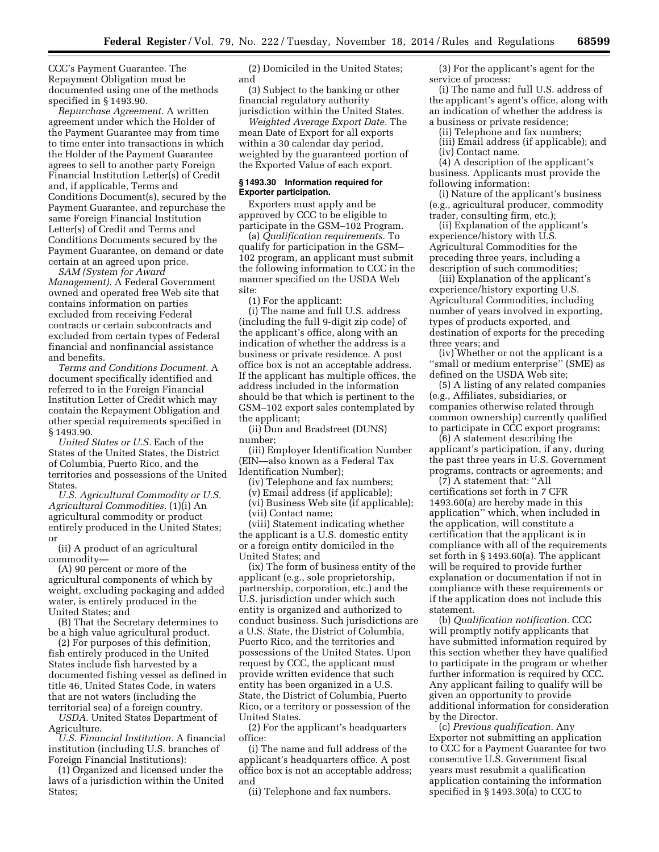CCC's Payment Guarantee. The Repayment Obligation must be documented using one of the methods specified in § 1493.90.

*Repurchase Agreement.* A written agreement under which the Holder of the Payment Guarantee may from time to time enter into transactions in which the Holder of the Payment Guarantee agrees to sell to another party Foreign Financial Institution Letter(s) of Credit and, if applicable, Terms and Conditions Document(s), secured by the Payment Guarantee, and repurchase the same Foreign Financial Institution Letter(s) of Credit and Terms and Conditions Documents secured by the Payment Guarantee, on demand or date certain at an agreed upon price.

*SAM (System for Award Management).* A Federal Government owned and operated free Web site that contains information on parties excluded from receiving Federal contracts or certain subcontracts and excluded from certain types of Federal financial and nonfinancial assistance and benefits.

*Terms and Conditions Document.* A document specifically identified and referred to in the Foreign Financial Institution Letter of Credit which may contain the Repayment Obligation and other special requirements specified in § 1493.90.

*United States or U.S.* Each of the States of the United States, the District of Columbia, Puerto Rico, and the territories and possessions of the United States.

*U.S. Agricultural Commodity or U.S. Agricultural Commodities.* (1)(i) An agricultural commodity or product entirely produced in the United States; or

(ii) A product of an agricultural commodity—

(A) 90 percent or more of the agricultural components of which by weight, excluding packaging and added water, is entirely produced in the United States; and

(B) That the Secretary determines to be a high value agricultural product.

(2) For purposes of this definition, fish entirely produced in the United States include fish harvested by a documented fishing vessel as defined in title 46, United States Code, in waters that are not waters (including the territorial sea) of a foreign country.

*USDA.* United States Department of Agriculture.

*U.S. Financial Institution.* A financial institution (including U.S. branches of Foreign Financial Institutions):

(1) Organized and licensed under the laws of a jurisdiction within the United States;

(2) Domiciled in the United States; and

(3) Subject to the banking or other financial regulatory authority jurisdiction within the United States.

*Weighted Average Export Date.* The mean Date of Export for all exports within a 30 calendar day period, weighted by the guaranteed portion of the Exported Value of each export.

## **§ 1493.30 Information required for Exporter participation.**

Exporters must apply and be approved by CCC to be eligible to participate in the GSM–102 Program.

(a) *Qualification requirements.* To qualify for participation in the GSM– 102 program, an applicant must submit the following information to CCC in the manner specified on the USDA Web site:

(1) For the applicant:

(i) The name and full U.S. address (including the full 9-digit zip code) of the applicant's office, along with an indication of whether the address is a business or private residence. A post office box is not an acceptable address. If the applicant has multiple offices, the address included in the information should be that which is pertinent to the GSM–102 export sales contemplated by the applicant;

(ii) Dun and Bradstreet (DUNS) number;

(iii) Employer Identification Number (EIN—also known as a Federal Tax Identification Number);

(iv) Telephone and fax numbers;

(v) Email address (if applicable);

(vi) Business Web site (if applicable); (vii) Contact name;

(viii) Statement indicating whether the applicant is a U.S. domestic entity or a foreign entity domiciled in the United States; and

(ix) The form of business entity of the applicant (e.g., sole proprietorship, partnership, corporation, etc.) and the U.S. jurisdiction under which such entity is organized and authorized to conduct business. Such jurisdictions are a U.S. State, the District of Columbia, Puerto Rico, and the territories and possessions of the United States. Upon request by CCC, the applicant must provide written evidence that such entity has been organized in a U.S. State, the District of Columbia, Puerto Rico, or a territory or possession of the United States.

(2) For the applicant's headquarters office:

(i) The name and full address of the applicant's headquarters office. A post office box is not an acceptable address; and

(ii) Telephone and fax numbers.

(3) For the applicant's agent for the service of process:

(i) The name and full U.S. address of the applicant's agent's office, along with an indication of whether the address is a business or private residence;

(ii) Telephone and fax numbers; (iii) Email address (if applicable); and

(iv) Contact name.

(4) A description of the applicant's business. Applicants must provide the following information:

(i) Nature of the applicant's business (e.g., agricultural producer, commodity trader, consulting firm, etc.);

(ii) Explanation of the applicant's experience/history with U.S. Agricultural Commodities for the preceding three years, including a description of such commodities;

(iii) Explanation of the applicant's experience/history exporting U.S. Agricultural Commodities, including number of years involved in exporting, types of products exported, and destination of exports for the preceding three years; and

(iv) Whether or not the applicant is a ''small or medium enterprise'' (SME) as defined on the USDA Web site;

(5) A listing of any related companies (e.g., Affiliates, subsidiaries, or companies otherwise related through common ownership) currently qualified to participate in CCC export programs;

(6) A statement describing the applicant's participation, if any, during the past three years in U.S. Government programs, contracts or agreements; and

(7) A statement that: ''All certifications set forth in 7 CFR 1493.60(a) are hereby made in this application'' which, when included in the application, will constitute a certification that the applicant is in compliance with all of the requirements set forth in § 1493.60(a). The applicant will be required to provide further explanation or documentation if not in compliance with these requirements or if the application does not include this statement.

(b) *Qualification notification.* CCC will promptly notify applicants that have submitted information required by this section whether they have qualified to participate in the program or whether further information is required by CCC. Any applicant failing to qualify will be given an opportunity to provide additional information for consideration by the Director.

(c) *Previous qualification.* Any Exporter not submitting an application to CCC for a Payment Guarantee for two consecutive U.S. Government fiscal years must resubmit a qualification application containing the information specified in § 1493.30(a) to CCC to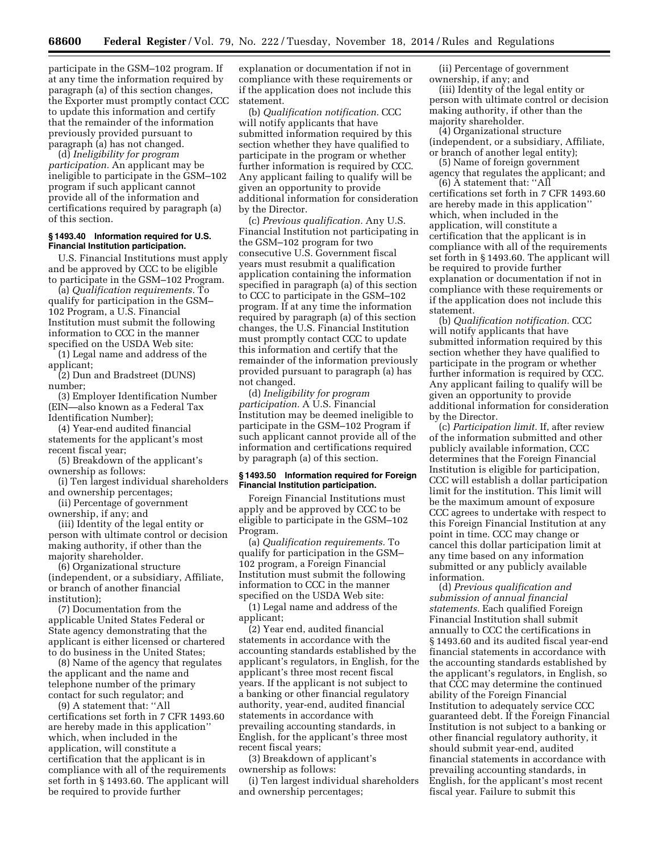participate in the GSM–102 program. If at any time the information required by paragraph (a) of this section changes, the Exporter must promptly contact CCC to update this information and certify that the remainder of the information previously provided pursuant to paragraph (a) has not changed.

(d) *Ineligibility for program participation.* An applicant may be ineligible to participate in the GSM–102 program if such applicant cannot provide all of the information and certifications required by paragraph (a) of this section.

## **§ 1493.40 Information required for U.S. Financial Institution participation.**

U.S. Financial Institutions must apply and be approved by CCC to be eligible to participate in the GSM–102 Program.

(a) *Qualification requirements.* To qualify for participation in the GSM– 102 Program, a U.S. Financial Institution must submit the following information to CCC in the manner specified on the USDA Web site:

(1) Legal name and address of the applicant;

(2) Dun and Bradstreet (DUNS) number;

(3) Employer Identification Number (EIN—also known as a Federal Tax Identification Number);

(4) Year-end audited financial statements for the applicant's most recent fiscal year;

(5) Breakdown of the applicant's ownership as follows:

(i) Ten largest individual shareholders and ownership percentages;

(ii) Percentage of government

ownership, if any; and

(iii) Identity of the legal entity or person with ultimate control or decision making authority, if other than the majority shareholder.

(6) Organizational structure (independent, or a subsidiary, Affiliate, or branch of another financial institution);

(7) Documentation from the applicable United States Federal or State agency demonstrating that the applicant is either licensed or chartered to do business in the United States;

(8) Name of the agency that regulates the applicant and the name and telephone number of the primary contact for such regulator; and

(9) A statement that: ''All certifications set forth in 7 CFR 1493.60 are hereby made in this application'' which, when included in the application, will constitute a certification that the applicant is in compliance with all of the requirements set forth in § 1493.60. The applicant will be required to provide further

explanation or documentation if not in compliance with these requirements or if the application does not include this statement.

(b) *Qualification notification.* CCC will notify applicants that have submitted information required by this section whether they have qualified to participate in the program or whether further information is required by CCC. Any applicant failing to qualify will be given an opportunity to provide additional information for consideration by the Director.

(c) *Previous qualification.* Any U.S. Financial Institution not participating in the GSM–102 program for two consecutive U.S. Government fiscal years must resubmit a qualification application containing the information specified in paragraph (a) of this section to CCC to participate in the GSM–102 program. If at any time the information required by paragraph (a) of this section changes, the U.S. Financial Institution must promptly contact CCC to update this information and certify that the remainder of the information previously provided pursuant to paragraph (a) has not changed.

(d) *Ineligibility for program participation.* A U.S. Financial Institution may be deemed ineligible to participate in the GSM–102 Program if such applicant cannot provide all of the information and certifications required by paragraph (a) of this section.

### **§ 1493.50 Information required for Foreign Financial Institution participation.**

Foreign Financial Institutions must apply and be approved by CCC to be eligible to participate in the GSM–102 Program.

(a) *Qualification requirements.* To qualify for participation in the GSM– 102 program, a Foreign Financial Institution must submit the following information to CCC in the manner specified on the USDA Web site:

(1) Legal name and address of the applicant;

(2) Year end, audited financial statements in accordance with the accounting standards established by the applicant's regulators, in English, for the applicant's three most recent fiscal years. If the applicant is not subject to a banking or other financial regulatory authority, year-end, audited financial statements in accordance with prevailing accounting standards, in English, for the applicant's three most recent fiscal years;

(3) Breakdown of applicant's ownership as follows:

(i) Ten largest individual shareholders and ownership percentages;

(ii) Percentage of government ownership, if any; and

(iii) Identity of the legal entity or person with ultimate control or decision making authority, if other than the majority shareholder.

(4) Organizational structure (independent, or a subsidiary, Affiliate, or branch of another legal entity);

(5) Name of foreign government agency that regulates the applicant; and

(6) A statement that: ''All certifications set forth in 7 CFR 1493.60 are hereby made in this application'' which, when included in the application, will constitute a certification that the applicant is in compliance with all of the requirements set forth in § 1493.60. The applicant will be required to provide further explanation or documentation if not in compliance with these requirements or if the application does not include this statement.

(b) *Qualification notification.* CCC will notify applicants that have submitted information required by this section whether they have qualified to participate in the program or whether further information is required by CCC. Any applicant failing to qualify will be given an opportunity to provide additional information for consideration by the Director.

(c) *Participation limit.* If, after review of the information submitted and other publicly available information, CCC determines that the Foreign Financial Institution is eligible for participation, CCC will establish a dollar participation limit for the institution. This limit will be the maximum amount of exposure CCC agrees to undertake with respect to this Foreign Financial Institution at any point in time. CCC may change or cancel this dollar participation limit at any time based on any information submitted or any publicly available information.

(d) *Previous qualification and submission of annual financial statements.* Each qualified Foreign Financial Institution shall submit annually to CCC the certifications in § 1493.60 and its audited fiscal year-end financial statements in accordance with the accounting standards established by the applicant's regulators, in English, so that CCC may determine the continued ability of the Foreign Financial Institution to adequately service CCC guaranteed debt. If the Foreign Financial Institution is not subject to a banking or other financial regulatory authority, it should submit year-end, audited financial statements in accordance with prevailing accounting standards, in English, for the applicant's most recent fiscal year. Failure to submit this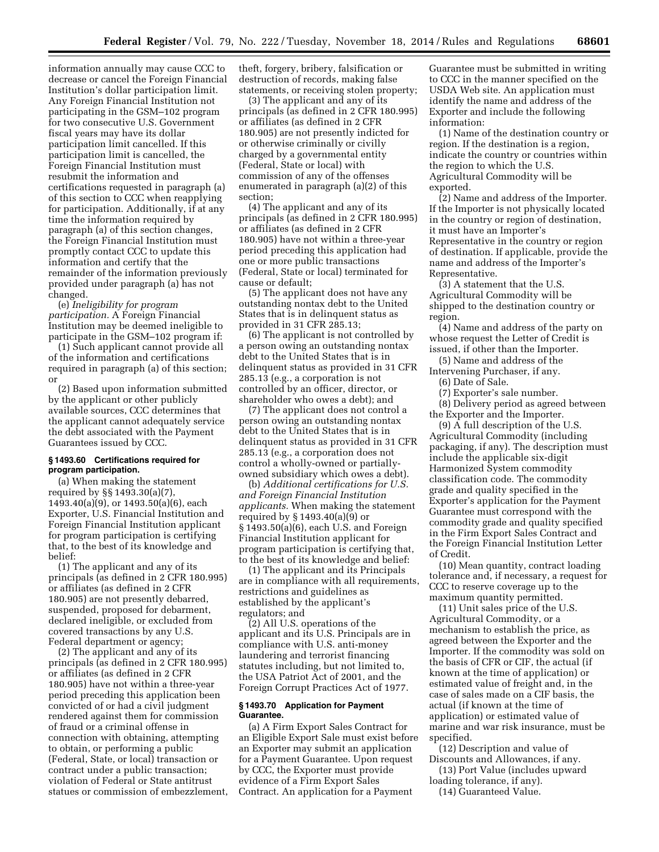information annually may cause CCC to decrease or cancel the Foreign Financial Institution's dollar participation limit. Any Foreign Financial Institution not participating in the GSM–102 program for two consecutive U.S. Government fiscal years may have its dollar participation limit cancelled. If this participation limit is cancelled, the Foreign Financial Institution must resubmit the information and certifications requested in paragraph (a) of this section to CCC when reapplying for participation. Additionally, if at any time the information required by paragraph (a) of this section changes, the Foreign Financial Institution must promptly contact CCC to update this information and certify that the remainder of the information previously provided under paragraph (a) has not changed.

(e) *Ineligibility for program participation.* A Foreign Financial Institution may be deemed ineligible to participate in the GSM–102 program if:

(1) Such applicant cannot provide all of the information and certifications required in paragraph (a) of this section; or

(2) Based upon information submitted by the applicant or other publicly available sources, CCC determines that the applicant cannot adequately service the debt associated with the Payment Guarantees issued by CCC.

## **§ 1493.60 Certifications required for program participation.**

(a) When making the statement required by §§ 1493.30(a)(7), 1493.40(a)(9), or 1493.50(a)(6), each Exporter, U.S. Financial Institution and Foreign Financial Institution applicant for program participation is certifying that, to the best of its knowledge and belief:

(1) The applicant and any of its principals (as defined in 2 CFR 180.995) or affiliates (as defined in 2 CFR 180.905) are not presently debarred, suspended, proposed for debarment, declared ineligible, or excluded from covered transactions by any U.S. Federal department or agency;

(2) The applicant and any of its principals (as defined in 2 CFR 180.995) or affiliates (as defined in 2 CFR 180.905) have not within a three-year period preceding this application been convicted of or had a civil judgment rendered against them for commission of fraud or a criminal offense in connection with obtaining, attempting to obtain, or performing a public (Federal, State, or local) transaction or contract under a public transaction; violation of Federal or State antitrust statues or commission of embezzlement, theft, forgery, bribery, falsification or destruction of records, making false statements, or receiving stolen property;

(3) The applicant and any of its principals (as defined in 2 CFR 180.995) or affiliates (as defined in 2 CFR 180.905) are not presently indicted for or otherwise criminally or civilly charged by a governmental entity (Federal, State or local) with commission of any of the offenses enumerated in paragraph (a)(2) of this section;

(4) The applicant and any of its principals (as defined in 2 CFR 180.995) or affiliates (as defined in 2 CFR 180.905) have not within a three-year period preceding this application had one or more public transactions (Federal, State or local) terminated for cause or default;

(5) The applicant does not have any outstanding nontax debt to the United States that is in delinquent status as provided in 31 CFR 285.13;

(6) The applicant is not controlled by a person owing an outstanding nontax debt to the United States that is in delinquent status as provided in 31 CFR 285.13 (e.g., a corporation is not controlled by an officer, director, or shareholder who owes a debt); and

(7) The applicant does not control a person owing an outstanding nontax debt to the United States that is in delinquent status as provided in 31 CFR 285.13 (e.g., a corporation does not control a wholly-owned or partiallyowned subsidiary which owes a debt).

(b) *Additional certifications for U.S. and Foreign Financial Institution applicants.* When making the statement required by § 1493.40(a)(9) or § 1493.50(a)(6), each U.S. and Foreign Financial Institution applicant for program participation is certifying that, to the best of its knowledge and belief:

(1) The applicant and its Principals are in compliance with all requirements, restrictions and guidelines as established by the applicant's regulators; and

(2) All U.S. operations of the applicant and its U.S. Principals are in compliance with U.S. anti-money laundering and terrorist financing statutes including, but not limited to, the USA Patriot Act of 2001, and the Foreign Corrupt Practices Act of 1977.

## **§ 1493.70 Application for Payment Guarantee.**

(a) A Firm Export Sales Contract for an Eligible Export Sale must exist before an Exporter may submit an application for a Payment Guarantee. Upon request by CCC, the Exporter must provide evidence of a Firm Export Sales Contract. An application for a Payment

Guarantee must be submitted in writing to CCC in the manner specified on the USDA Web site. An application must identify the name and address of the Exporter and include the following information:

(1) Name of the destination country or region. If the destination is a region, indicate the country or countries within the region to which the U.S. Agricultural Commodity will be exported.

(2) Name and address of the Importer. If the Importer is not physically located in the country or region of destination, it must have an Importer's Representative in the country or region of destination. If applicable, provide the name and address of the Importer's Representative.

(3) A statement that the U.S. Agricultural Commodity will be shipped to the destination country or region.

(4) Name and address of the party on whose request the Letter of Credit is issued, if other than the Importer.

(5) Name and address of the Intervening Purchaser, if any.

(6) Date of Sale.

(7) Exporter's sale number.

(8) Delivery period as agreed between the Exporter and the Importer.

(9) A full description of the U.S. Agricultural Commodity (including packaging, if any). The description must include the applicable six-digit Harmonized System commodity classification code. The commodity grade and quality specified in the Exporter's application for the Payment Guarantee must correspond with the commodity grade and quality specified in the Firm Export Sales Contract and the Foreign Financial Institution Letter of Credit.

(10) Mean quantity, contract loading tolerance and, if necessary, a request for CCC to reserve coverage up to the maximum quantity permitted.

(11) Unit sales price of the U.S. Agricultural Commodity, or a mechanism to establish the price, as agreed between the Exporter and the Importer. If the commodity was sold on the basis of CFR or CIF, the actual (if known at the time of application) or estimated value of freight and, in the case of sales made on a CIF basis, the actual (if known at the time of application) or estimated value of marine and war risk insurance, must be specified.

(12) Description and value of Discounts and Allowances, if any.

(13) Port Value (includes upward loading tolerance, if any).

(14) Guaranteed Value.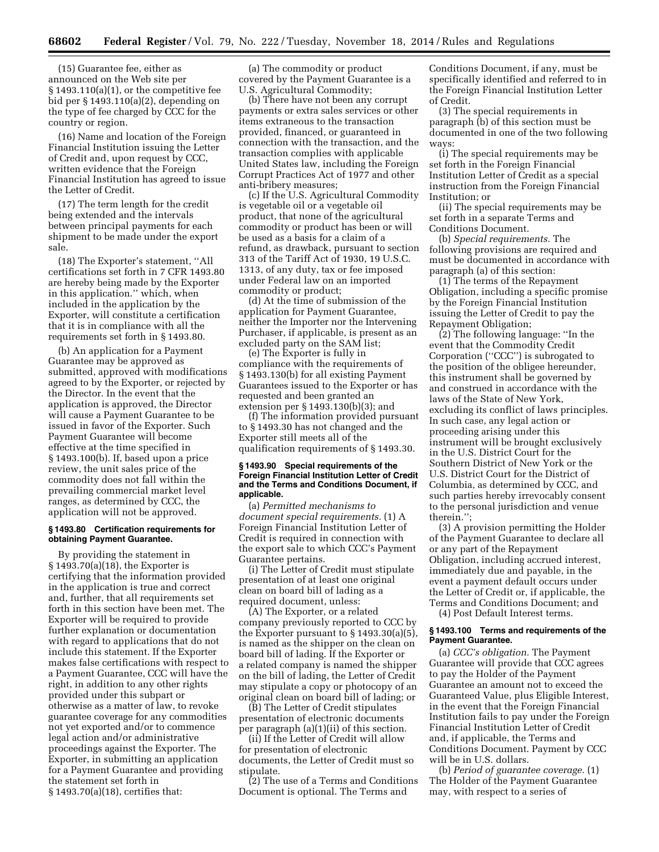(15) Guarantee fee, either as announced on the Web site per  $§ 1493.110(a)(1)$ , or the competitive fee bid per § 1493.110(a)(2), depending on the type of fee charged by CCC for the country or region.

(16) Name and location of the Foreign Financial Institution issuing the Letter of Credit and, upon request by CCC, written evidence that the Foreign Financial Institution has agreed to issue the Letter of Credit.

(17) The term length for the credit being extended and the intervals between principal payments for each shipment to be made under the export sale.

(18) The Exporter's statement, ''All certifications set forth in 7 CFR 1493.80 are hereby being made by the Exporter in this application.'' which, when included in the application by the Exporter, will constitute a certification that it is in compliance with all the requirements set forth in § 1493.80.

(b) An application for a Payment Guarantee may be approved as submitted, approved with modifications agreed to by the Exporter, or rejected by the Director. In the event that the application is approved, the Director will cause a Payment Guarantee to be issued in favor of the Exporter. Such Payment Guarantee will become effective at the time specified in § 1493.100(b). If, based upon a price review, the unit sales price of the commodity does not fall within the prevailing commercial market level ranges, as determined by CCC, the application will not be approved.

#### **§ 1493.80 Certification requirements for obtaining Payment Guarantee.**

By providing the statement in § 1493.70(a)(18), the Exporter is certifying that the information provided in the application is true and correct and, further, that all requirements set forth in this section have been met. The Exporter will be required to provide further explanation or documentation with regard to applications that do not include this statement. If the Exporter makes false certifications with respect to a Payment Guarantee, CCC will have the right, in addition to any other rights provided under this subpart or otherwise as a matter of law, to revoke guarantee coverage for any commodities not yet exported and/or to commence legal action and/or administrative proceedings against the Exporter. The Exporter, in submitting an application for a Payment Guarantee and providing the statement set forth in § 1493.70(a)(18), certifies that:

(a) The commodity or product covered by the Payment Guarantee is a U.S. Agricultural Commodity;

(b) There have not been any corrupt payments or extra sales services or other items extraneous to the transaction provided, financed, or guaranteed in connection with the transaction, and the transaction complies with applicable United States law, including the Foreign Corrupt Practices Act of 1977 and other anti-bribery measures;

(c) If the U.S. Agricultural Commodity is vegetable oil or a vegetable oil product, that none of the agricultural commodity or product has been or will be used as a basis for a claim of a refund, as drawback, pursuant to section 313 of the Tariff Act of 1930, 19 U.S.C. 1313, of any duty, tax or fee imposed under Federal law on an imported commodity or product;

(d) At the time of submission of the application for Payment Guarantee, neither the Importer nor the Intervening Purchaser, if applicable, is present as an excluded party on the SAM list;

(e) The Exporter is fully in compliance with the requirements of § 1493.130(b) for all existing Payment Guarantees issued to the Exporter or has requested and been granted an extension per § 1493.130(b)(3); and

(f) The information provided pursuant to § 1493.30 has not changed and the Exporter still meets all of the qualification requirements of § 1493.30.

## **§ 1493.90 Special requirements of the Foreign Financial Institution Letter of Credit and the Terms and Conditions Document, if applicable.**

(a) *Permitted mechanisms to document special requirements.* (1) A Foreign Financial Institution Letter of Credit is required in connection with the export sale to which CCC's Payment Guarantee pertains.

(i) The Letter of Credit must stipulate presentation of at least one original clean on board bill of lading as a required document, unless:

(A) The Exporter, or a related company previously reported to CCC by the Exporter pursuant to § 1493.30(a)(5), is named as the shipper on the clean on board bill of lading. If the Exporter or a related company is named the shipper on the bill of lading, the Letter of Credit may stipulate a copy or photocopy of an original clean on board bill of lading; or

(B) The Letter of Credit stipulates presentation of electronic documents per paragraph (a)(1)(ii) of this section.

(ii) If the Letter of Credit will allow for presentation of electronic documents, the Letter of Credit must so stipulate.

(2) The use of a Terms and Conditions Document is optional. The Terms and

Conditions Document, if any, must be specifically identified and referred to in the Foreign Financial Institution Letter of Credit.

(3) The special requirements in paragraph (b) of this section must be documented in one of the two following ways:

(i) The special requirements may be set forth in the Foreign Financial Institution Letter of Credit as a special instruction from the Foreign Financial Institution; or

(ii) The special requirements may be set forth in a separate Terms and Conditions Document.

(b) *Special requirements.* The following provisions are required and must be documented in accordance with paragraph (a) of this section:

(1) The terms of the Repayment Obligation, including a specific promise by the Foreign Financial Institution issuing the Letter of Credit to pay the Repayment Obligation;

(2) The following language: ''In the event that the Commodity Credit Corporation (''CCC'') is subrogated to the position of the obligee hereunder, this instrument shall be governed by and construed in accordance with the laws of the State of New York, excluding its conflict of laws principles. In such case, any legal action or proceeding arising under this instrument will be brought exclusively in the U.S. District Court for the Southern District of New York or the U.S. District Court for the District of Columbia, as determined by CCC, and such parties hereby irrevocably consent to the personal jurisdiction and venue therein.'';

(3) A provision permitting the Holder of the Payment Guarantee to declare all or any part of the Repayment Obligation, including accrued interest, immediately due and payable, in the event a payment default occurs under the Letter of Credit or, if applicable, the Terms and Conditions Document; and (4) Post Default Interest terms.

#### **§ 1493.100 Terms and requirements of the Payment Guarantee.**

(a) *CCC's obligation.* The Payment Guarantee will provide that CCC agrees to pay the Holder of the Payment Guarantee an amount not to exceed the Guaranteed Value, plus Eligible Interest, in the event that the Foreign Financial Institution fails to pay under the Foreign Financial Institution Letter of Credit and, if applicable, the Terms and Conditions Document. Payment by CCC will be in U.S. dollars.

(b) *Period of guarantee coverage.* (1) The Holder of the Payment Guarantee may, with respect to a series of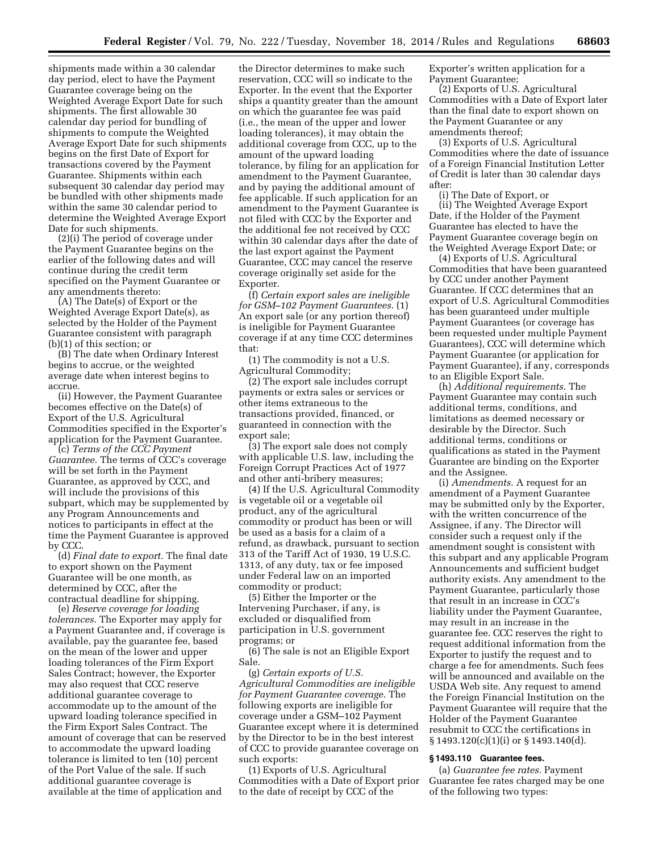shipments made within a 30 calendar day period, elect to have the Payment Guarantee coverage being on the Weighted Average Export Date for such shipments. The first allowable 30 calendar day period for bundling of shipments to compute the Weighted Average Export Date for such shipments begins on the first Date of Export for transactions covered by the Payment Guarantee. Shipments within each subsequent 30 calendar day period may be bundled with other shipments made within the same 30 calendar period to determine the Weighted Average Export Date for such shipments.

(2)(i) The period of coverage under the Payment Guarantee begins on the earlier of the following dates and will continue during the credit term specified on the Payment Guarantee or any amendments thereto:

(A) The Date(s) of Export or the Weighted Average Export Date(s), as selected by the Holder of the Payment Guarantee consistent with paragraph (b)(1) of this section; or

(B) The date when Ordinary Interest begins to accrue, or the weighted average date when interest begins to accrue.

(ii) However, the Payment Guarantee becomes effective on the Date(s) of Export of the U.S. Agricultural Commodities specified in the Exporter's application for the Payment Guarantee.

(c) *Terms of the CCC Payment Guarantee.* The terms of CCC's coverage will be set forth in the Payment Guarantee, as approved by CCC, and will include the provisions of this subpart, which may be supplemented by any Program Announcements and notices to participants in effect at the time the Payment Guarantee is approved by CCC.

(d) *Final date to export.* The final date to export shown on the Payment Guarantee will be one month, as determined by CCC, after the contractual deadline for shipping.

(e) *Reserve coverage for loading tolerances.* The Exporter may apply for a Payment Guarantee and, if coverage is available, pay the guarantee fee, based on the mean of the lower and upper loading tolerances of the Firm Export Sales Contract; however, the Exporter may also request that CCC reserve additional guarantee coverage to accommodate up to the amount of the upward loading tolerance specified in the Firm Export Sales Contract. The amount of coverage that can be reserved to accommodate the upward loading tolerance is limited to ten (10) percent of the Port Value of the sale. If such additional guarantee coverage is available at the time of application and

the Director determines to make such reservation, CCC will so indicate to the Exporter. In the event that the Exporter ships a quantity greater than the amount on which the guarantee fee was paid (i.e., the mean of the upper and lower loading tolerances), it may obtain the additional coverage from CCC, up to the amount of the upward loading tolerance, by filing for an application for amendment to the Payment Guarantee, and by paying the additional amount of fee applicable. If such application for an amendment to the Payment Guarantee is not filed with CCC by the Exporter and the additional fee not received by CCC within 30 calendar days after the date of the last export against the Payment Guarantee, CCC may cancel the reserve coverage originally set aside for the Exporter.

(f) *Certain export sales are ineligible for GSM–102 Payment Guarantees.* (1) An export sale (or any portion thereof) is ineligible for Payment Guarantee coverage if at any time CCC determines that:

(1) The commodity is not a U.S. Agricultural Commodity;

(2) The export sale includes corrupt payments or extra sales or services or other items extraneous to the transactions provided, financed, or guaranteed in connection with the export sale;

(3) The export sale does not comply with applicable U.S. law, including the Foreign Corrupt Practices Act of 1977 and other anti-bribery measures;

(4) If the U.S. Agricultural Commodity is vegetable oil or a vegetable oil product, any of the agricultural commodity or product has been or will be used as a basis for a claim of a refund, as drawback, pursuant to section 313 of the Tariff Act of 1930, 19 U.S.C. 1313, of any duty, tax or fee imposed under Federal law on an imported commodity or product;

(5) Either the Importer or the Intervening Purchaser, if any, is excluded or disqualified from participation in U.S. government programs; or

(6) The sale is not an Eligible Export Sale.

(g) *Certain exports of U.S. Agricultural Commodities are ineligible for Payment Guarantee coverage.* The following exports are ineligible for coverage under a GSM–102 Payment Guarantee except where it is determined by the Director to be in the best interest of CCC to provide guarantee coverage on such exports:

(1) Exports of U.S. Agricultural Commodities with a Date of Export prior to the date of receipt by CCC of the

Exporter's written application for a Payment Guarantee;

(2) Exports of U.S. Agricultural Commodities with a Date of Export later than the final date to export shown on the Payment Guarantee or any amendments thereof;

(3) Exports of U.S. Agricultural Commodities where the date of issuance of a Foreign Financial Institution Letter of Credit is later than 30 calendar days after:

(i) The Date of Export, or (ii) The Weighted Average Export Date, if the Holder of the Payment Guarantee has elected to have the Payment Guarantee coverage begin on the Weighted Average Export Date; or

(4) Exports of U.S. Agricultural Commodities that have been guaranteed by CCC under another Payment Guarantee. If CCC determines that an export of U.S. Agricultural Commodities has been guaranteed under multiple Payment Guarantees (or coverage has been requested under multiple Payment Guarantees), CCC will determine which Payment Guarantee (or application for Payment Guarantee), if any, corresponds to an Eligible Export Sale.

(h) *Additional requirements.* The Payment Guarantee may contain such additional terms, conditions, and limitations as deemed necessary or desirable by the Director. Such additional terms, conditions or qualifications as stated in the Payment Guarantee are binding on the Exporter and the Assignee.

(i) *Amendments.* A request for an amendment of a Payment Guarantee may be submitted only by the Exporter, with the written concurrence of the Assignee, if any. The Director will consider such a request only if the amendment sought is consistent with this subpart and any applicable Program Announcements and sufficient budget authority exists. Any amendment to the Payment Guarantee, particularly those that result in an increase in CCC's liability under the Payment Guarantee, may result in an increase in the guarantee fee. CCC reserves the right to request additional information from the Exporter to justify the request and to charge a fee for amendments. Such fees will be announced and available on the USDA Web site. Any request to amend the Foreign Financial Institution on the Payment Guarantee will require that the Holder of the Payment Guarantee resubmit to CCC the certifications in § 1493.120(c)(1)(i) or § 1493.140(d).

# **§ 1493.110 Guarantee fees.**

(a) *Guarantee fee rates.* Payment Guarantee fee rates charged may be one of the following two types: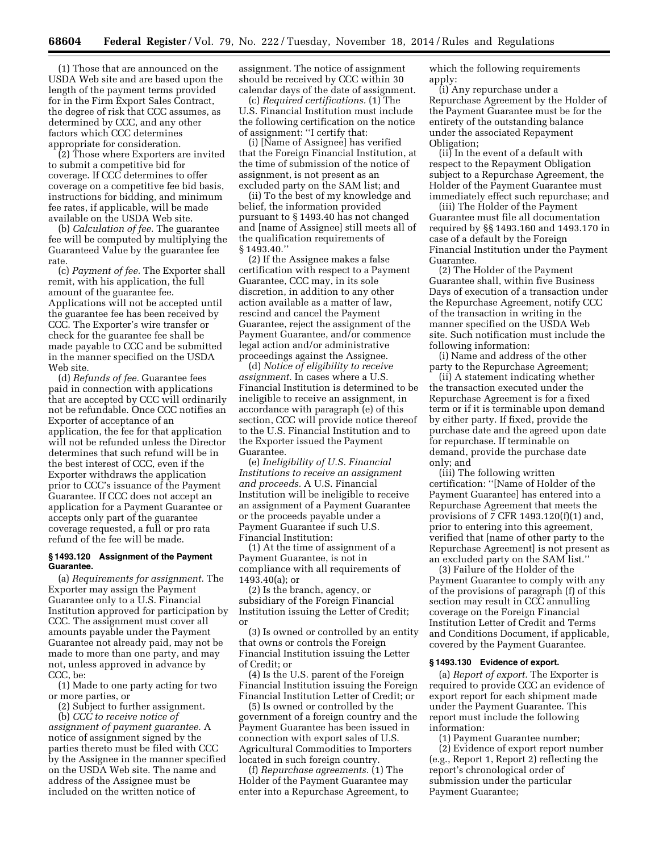(1) Those that are announced on the USDA Web site and are based upon the length of the payment terms provided for in the Firm Export Sales Contract, the degree of risk that CCC assumes, as determined by CCC, and any other factors which CCC determines appropriate for consideration.

(2) Those where Exporters are invited to submit a competitive bid for coverage. If CCC determines to offer coverage on a competitive fee bid basis, instructions for bidding, and minimum fee rates, if applicable, will be made available on the USDA Web site.

(b) *Calculation of fee.* The guarantee fee will be computed by multiplying the Guaranteed Value by the guarantee fee rate.

(c) *Payment of fee.* The Exporter shall remit, with his application, the full amount of the guarantee fee. Applications will not be accepted until the guarantee fee has been received by CCC. The Exporter's wire transfer or check for the guarantee fee shall be made payable to CCC and be submitted in the manner specified on the USDA Web site.

(d) *Refunds of fee.* Guarantee fees paid in connection with applications that are accepted by CCC will ordinarily not be refundable. Once CCC notifies an Exporter of acceptance of an application, the fee for that application will not be refunded unless the Director determines that such refund will be in the best interest of CCC, even if the Exporter withdraws the application prior to CCC's issuance of the Payment Guarantee. If CCC does not accept an application for a Payment Guarantee or accepts only part of the guarantee coverage requested, a full or pro rata refund of the fee will be made.

## **§ 1493.120 Assignment of the Payment Guarantee.**

(a) *Requirements for assignment.* The Exporter may assign the Payment Guarantee only to a U.S. Financial Institution approved for participation by CCC. The assignment must cover all amounts payable under the Payment Guarantee not already paid, may not be made to more than one party, and may not, unless approved in advance by CCC, be:

(1) Made to one party acting for two or more parties, or

(2) Subject to further assignment.

(b) *CCC to receive notice of assignment of payment guarantee.* A notice of assignment signed by the parties thereto must be filed with CCC by the Assignee in the manner specified on the USDA Web site. The name and address of the Assignee must be included on the written notice of

assignment. The notice of assignment should be received by CCC within 30 calendar days of the date of assignment.

(c) *Required certifications.* (1) The U.S. Financial Institution must include the following certification on the notice of assignment: ''I certify that:

(i) [Name of Assignee] has verified that the Foreign Financial Institution, at the time of submission of the notice of assignment, is not present as an excluded party on the SAM list; and

(ii) To the best of my knowledge and belief, the information provided pursuant to § 1493.40 has not changed and [name of Assignee] still meets all of the qualification requirements of § 1493.40.''

(2) If the Assignee makes a false certification with respect to a Payment Guarantee, CCC may, in its sole discretion, in addition to any other action available as a matter of law, rescind and cancel the Payment Guarantee, reject the assignment of the Payment Guarantee, and/or commence legal action and/or administrative proceedings against the Assignee.

(d) *Notice of eligibility to receive assignment.* In cases where a U.S. Financial Institution is determined to be ineligible to receive an assignment, in accordance with paragraph (e) of this section, CCC will provide notice thereof to the U.S. Financial Institution and to the Exporter issued the Payment Guarantee.

(e) *Ineligibility of U.S. Financial Institutions to receive an assignment and proceeds.* A U.S. Financial Institution will be ineligible to receive an assignment of a Payment Guarantee or the proceeds payable under a Payment Guarantee if such U.S. Financial Institution:

(1) At the time of assignment of a Payment Guarantee, is not in compliance with all requirements of 1493.40(a); or

(2) Is the branch, agency, or subsidiary of the Foreign Financial Institution issuing the Letter of Credit; or

(3) Is owned or controlled by an entity that owns or controls the Foreign Financial Institution issuing the Letter of Credit; or

(4) Is the U.S. parent of the Foreign Financial Institution issuing the Foreign Financial Institution Letter of Credit; or

(5) Is owned or controlled by the government of a foreign country and the Payment Guarantee has been issued in connection with export sales of U.S. Agricultural Commodities to Importers located in such foreign country.

(f) *Repurchase agreements.* (1) The Holder of the Payment Guarantee may enter into a Repurchase Agreement, to which the following requirements apply:

(i) Any repurchase under a Repurchase Agreement by the Holder of the Payment Guarantee must be for the entirety of the outstanding balance under the associated Repayment Obligation;

(ii) In the event of a default with respect to the Repayment Obligation subject to a Repurchase Agreement, the Holder of the Payment Guarantee must immediately effect such repurchase; and

(iii) The Holder of the Payment Guarantee must file all documentation required by §§ 1493.160 and 1493.170 in case of a default by the Foreign Financial Institution under the Payment Guarantee.

(2) The Holder of the Payment Guarantee shall, within five Business Days of execution of a transaction under the Repurchase Agreement, notify CCC of the transaction in writing in the manner specified on the USDA Web site. Such notification must include the following information:

(i) Name and address of the other party to the Repurchase Agreement;

(ii) A statement indicating whether the transaction executed under the Repurchase Agreement is for a fixed term or if it is terminable upon demand by either party. If fixed, provide the purchase date and the agreed upon date for repurchase. If terminable on demand, provide the purchase date only; and

(iii) The following written certification: ''[Name of Holder of the Payment Guarantee] has entered into a Repurchase Agreement that meets the provisions of 7 CFR 1493.120(f)(1) and, prior to entering into this agreement, verified that [name of other party to the Repurchase Agreement] is not present as an excluded party on the SAM list.''

(3) Failure of the Holder of the Payment Guarantee to comply with any of the provisions of paragraph (f) of this section may result in CCC annulling coverage on the Foreign Financial Institution Letter of Credit and Terms and Conditions Document, if applicable, covered by the Payment Guarantee.

#### **§ 1493.130 Evidence of export.**

(a) *Report of export.* The Exporter is required to provide CCC an evidence of export report for each shipment made under the Payment Guarantee. This report must include the following information:

(1) Payment Guarantee number;

(2) Evidence of export report number (e.g., Report 1, Report 2) reflecting the report's chronological order of submission under the particular Payment Guarantee;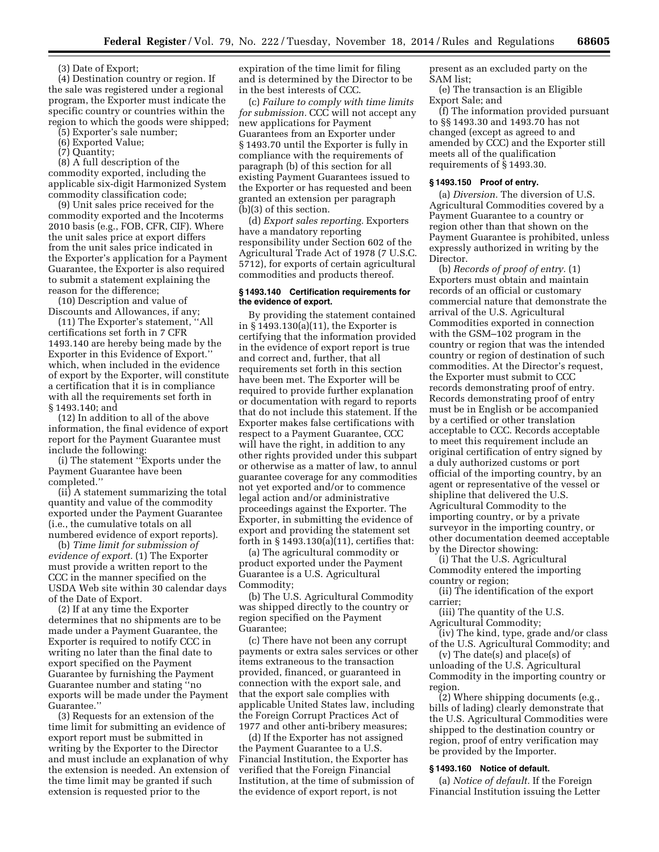(3) Date of Export;

(4) Destination country or region. If the sale was registered under a regional program, the Exporter must indicate the specific country or countries within the region to which the goods were shipped;

(5) Exporter's sale number;

(6) Exported Value;

(7) Quantity;

(8) A full description of the commodity exported, including the applicable six-digit Harmonized System commodity classification code;

(9) Unit sales price received for the commodity exported and the Incoterms 2010 basis (e.g., FOB, CFR, CIF). Where the unit sales price at export differs from the unit sales price indicated in the Exporter's application for a Payment Guarantee, the Exporter is also required to submit a statement explaining the reason for the difference;

(10) Description and value of Discounts and Allowances, if any;

(11) The Exporter's statement, ''All certifications set forth in 7 CFR 1493.140 are hereby being made by the Exporter in this Evidence of Export.'' which, when included in the evidence of export by the Exporter, will constitute a certification that it is in compliance with all the requirements set forth in § 1493.140; and

(12) In addition to all of the above information, the final evidence of export report for the Payment Guarantee must include the following:

(i) The statement ''Exports under the Payment Guarantee have been completed.''

(ii) A statement summarizing the total quantity and value of the commodity exported under the Payment Guarantee (i.e., the cumulative totals on all numbered evidence of export reports).

(b) *Time limit for submission of evidence of export.* (1) The Exporter must provide a written report to the CCC in the manner specified on the USDA Web site within 30 calendar days of the Date of Export.

(2) If at any time the Exporter determines that no shipments are to be made under a Payment Guarantee, the Exporter is required to notify CCC in writing no later than the final date to export specified on the Payment Guarantee by furnishing the Payment Guarantee number and stating ''no exports will be made under the Payment Guarantee.''

(3) Requests for an extension of the time limit for submitting an evidence of export report must be submitted in writing by the Exporter to the Director and must include an explanation of why the extension is needed. An extension of the time limit may be granted if such extension is requested prior to the

expiration of the time limit for filing and is determined by the Director to be in the best interests of CCC.

(c) *Failure to comply with time limits for submission.* CCC will not accept any new applications for Payment Guarantees from an Exporter under § 1493.70 until the Exporter is fully in compliance with the requirements of paragraph (b) of this section for all existing Payment Guarantees issued to the Exporter or has requested and been granted an extension per paragraph (b)(3) of this section.

(d) *Export sales reporting.* Exporters have a mandatory reporting responsibility under Section 602 of the Agricultural Trade Act of 1978 (7 U.S.C. 5712), for exports of certain agricultural commodities and products thereof.

## **§ 1493.140 Certification requirements for the evidence of export.**

By providing the statement contained in § 1493.130(a)(11), the Exporter is certifying that the information provided in the evidence of export report is true and correct and, further, that all requirements set forth in this section have been met. The Exporter will be required to provide further explanation or documentation with regard to reports that do not include this statement. If the Exporter makes false certifications with respect to a Payment Guarantee, CCC will have the right, in addition to any other rights provided under this subpart or otherwise as a matter of law, to annul guarantee coverage for any commodities not yet exported and/or to commence legal action and/or administrative proceedings against the Exporter. The Exporter, in submitting the evidence of export and providing the statement set forth in  $\S 1493.130(a)(11)$ , certifies that:

(a) The agricultural commodity or product exported under the Payment Guarantee is a U.S. Agricultural Commodity;

(b) The U.S. Agricultural Commodity was shipped directly to the country or region specified on the Payment Guarantee;

(c) There have not been any corrupt payments or extra sales services or other items extraneous to the transaction provided, financed, or guaranteed in connection with the export sale, and that the export sale complies with applicable United States law, including the Foreign Corrupt Practices Act of 1977 and other anti-bribery measures;

(d) If the Exporter has not assigned the Payment Guarantee to a U.S. Financial Institution, the Exporter has verified that the Foreign Financial Institution, at the time of submission of the evidence of export report, is not

present as an excluded party on the SAM list;

(e) The transaction is an Eligible Export Sale; and

(f) The information provided pursuant to §§ 1493.30 and 1493.70 has not changed (except as agreed to and amended by CCC) and the Exporter still meets all of the qualification requirements of § 1493.30.

## **§ 1493.150 Proof of entry.**

(a) *Diversion.* The diversion of U.S. Agricultural Commodities covered by a Payment Guarantee to a country or region other than that shown on the Payment Guarantee is prohibited, unless expressly authorized in writing by the Director.

(b) *Records of proof of entry.* (1) Exporters must obtain and maintain records of an official or customary commercial nature that demonstrate the arrival of the U.S. Agricultural Commodities exported in connection with the GSM–102 program in the country or region that was the intended country or region of destination of such commodities. At the Director's request, the Exporter must submit to CCC records demonstrating proof of entry. Records demonstrating proof of entry must be in English or be accompanied by a certified or other translation acceptable to CCC. Records acceptable to meet this requirement include an original certification of entry signed by a duly authorized customs or port official of the importing country, by an agent or representative of the vessel or shipline that delivered the U.S. Agricultural Commodity to the importing country, or by a private surveyor in the importing country, or other documentation deemed acceptable by the Director showing:

(i) That the U.S. Agricultural Commodity entered the importing country or region;

(ii) The identification of the export carrier;

(iii) The quantity of the U.S. Agricultural Commodity;

(iv) The kind, type, grade and/or class

of the U.S. Agricultural Commodity; and (v) The date(s) and place(s) of

unloading of the U.S. Agricultural Commodity in the importing country or region.

(2) Where shipping documents (e.g., bills of lading) clearly demonstrate that the U.S. Agricultural Commodities were shipped to the destination country or region, proof of entry verification may be provided by the Importer.

#### **§ 1493.160 Notice of default.**

(a) *Notice of default.* If the Foreign Financial Institution issuing the Letter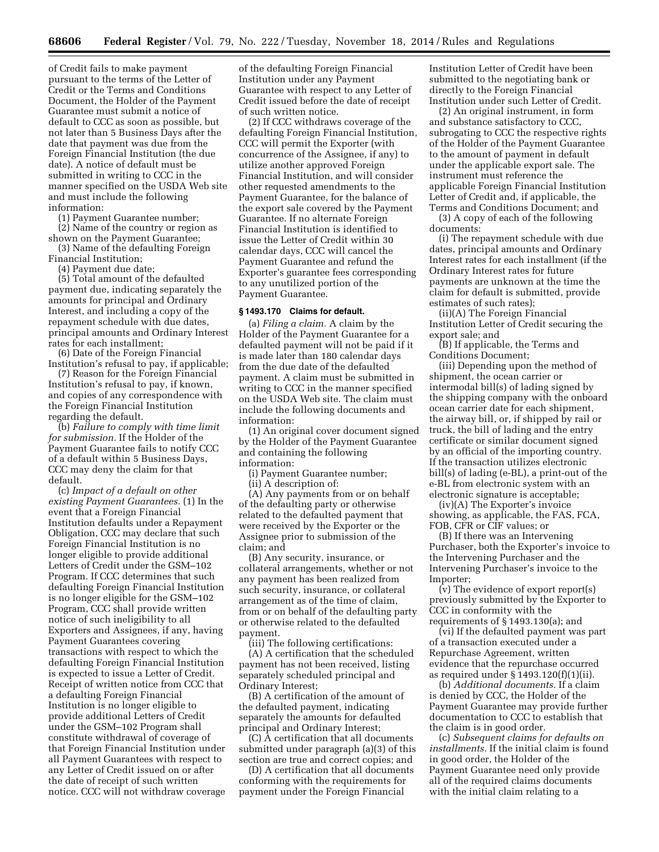of Credit fails to make payment pursuant to the terms of the Letter of Credit or the Terms and Conditions Document, the Holder of the Payment Guarantee must submit a notice of default to CCC as soon as possible, but not later than 5 Business Days after the date that payment was due from the Foreign Financial Institution (the due date). A notice of default must be submitted in writing to CCC in the manner specified on the USDA Web site and must include the following information:

(1) Payment Guarantee number; (2) Name of the country or region as

shown on the Payment Guarantee; (3) Name of the defaulting Foreign

Financial Institution; (4) Payment due date;

(5) Total amount of the defaulted payment due, indicating separately the amounts for principal and Ordinary Interest, and including a copy of the repayment schedule with due dates, principal amounts and Ordinary Interest rates for each installment;

(6) Date of the Foreign Financial Institution's refusal to pay, if applicable;

(7) Reason for the Foreign Financial Institution's refusal to pay, if known, and copies of any correspondence with the Foreign Financial Institution regarding the default.

(b) *Failure to comply with time limit for submission.* If the Holder of the Payment Guarantee fails to notify CCC of a default within 5 Business Days, CCC may deny the claim for that default.

(c) *Impact of a default on other existing Payment Guarantees.* (1) In the event that a Foreign Financial Institution defaults under a Repayment Obligation, CCC may declare that such Foreign Financial Institution is no longer eligible to provide additional Letters of Credit under the GSM–102 Program. If CCC determines that such defaulting Foreign Financial Institution is no longer eligible for the GSM–102 Program, CCC shall provide written notice of such ineligibility to all Exporters and Assignees, if any, having Payment Guarantees covering transactions with respect to which the defaulting Foreign Financial Institution is expected to issue a Letter of Credit. Receipt of written notice from CCC that a defaulting Foreign Financial Institution is no longer eligible to provide additional Letters of Credit under the GSM–102 Program shall constitute withdrawal of coverage of that Foreign Financial Institution under all Payment Guarantees with respect to any Letter of Credit issued on or after the date of receipt of such written notice. CCC will not withdraw coverage of the defaulting Foreign Financial Institution under any Payment Guarantee with respect to any Letter of Credit issued before the date of receipt of such written notice.

(2) If CCC withdraws coverage of the defaulting Foreign Financial Institution, CCC will permit the Exporter (with concurrence of the Assignee, if any) to utilize another approved Foreign Financial Institution, and will consider other requested amendments to the Payment Guarantee, for the balance of the export sale covered by the Payment Guarantee. If no alternate Foreign Financial Institution is identified to issue the Letter of Credit within 30 calendar days, CCC will cancel the Payment Guarantee and refund the Exporter's guarantee fees corresponding to any unutilized portion of the Payment Guarantee.

#### **§ 1493.170 Claims for default.**

(a) *Filing a claim.* A claim by the Holder of the Payment Guarantee for a defaulted payment will not be paid if it is made later than 180 calendar days from the due date of the defaulted payment. A claim must be submitted in writing to CCC in the manner specified on the USDA Web site. The claim must include the following documents and information:

(1) An original cover document signed by the Holder of the Payment Guarantee and containing the following information:

(i) Payment Guarantee number;

(ii) A description of:

(A) Any payments from or on behalf of the defaulting party or otherwise related to the defaulted payment that were received by the Exporter or the Assignee prior to submission of the claim; and

(B) Any security, insurance, or collateral arrangements, whether or not any payment has been realized from such security, insurance, or collateral arrangement as of the time of claim, from or on behalf of the defaulting party or otherwise related to the defaulted payment.

(iii) The following certifications:

(A) A certification that the scheduled payment has not been received, listing separately scheduled principal and Ordinary Interest;

(B) A certification of the amount of the defaulted payment, indicating separately the amounts for defaulted principal and Ordinary Interest;

(C) A certification that all documents submitted under paragraph (a)(3) of this section are true and correct copies; and

(D) A certification that all documents conforming with the requirements for payment under the Foreign Financial

Institution Letter of Credit have been submitted to the negotiating bank or directly to the Foreign Financial Institution under such Letter of Credit.

(2) An original instrument, in form and substance satisfactory to CCC, subrogating to CCC the respective rights of the Holder of the Payment Guarantee to the amount of payment in default under the applicable export sale. The instrument must reference the applicable Foreign Financial Institution Letter of Credit and, if applicable, the Terms and Conditions Document; and

(3) A copy of each of the following documents:

(i) The repayment schedule with due dates, principal amounts and Ordinary Interest rates for each installment (if the Ordinary Interest rates for future payments are unknown at the time the claim for default is submitted, provide estimates of such rates);

(ii)(A) The Foreign Financial Institution Letter of Credit securing the export sale; and

(B) If applicable, the Terms and Conditions Document;

(iii) Depending upon the method of shipment, the ocean carrier or intermodal bill(s) of lading signed by the shipping company with the onboard ocean carrier date for each shipment, the airway bill, or, if shipped by rail or truck, the bill of lading and the entry certificate or similar document signed by an official of the importing country. If the transaction utilizes electronic bill(s) of lading (e-BL), a print-out of the e-BL from electronic system with an electronic signature is acceptable;

(iv)(A) The Exporter's invoice showing, as applicable, the FAS, FCA, FOB, CFR or CIF values; or

(B) If there was an Intervening Purchaser, both the Exporter's invoice to the Intervening Purchaser and the Intervening Purchaser's invoice to the Importer;

(v) The evidence of export report(s) previously submitted by the Exporter to CCC in conformity with the requirements of § 1493.130(a); and

(vi) If the defaulted payment was part of a transaction executed under a Repurchase Agreement, written evidence that the repurchase occurred as required under § 1493.120(f)(1)(ii).

(b) *Additional documents.* If a claim is denied by CCC, the Holder of the Payment Guarantee may provide further documentation to CCC to establish that the claim is in good order.

(c) *Subsequent claims for defaults on installments.* If the initial claim is found in good order, the Holder of the Payment Guarantee need only provide all of the required claims documents with the initial claim relating to a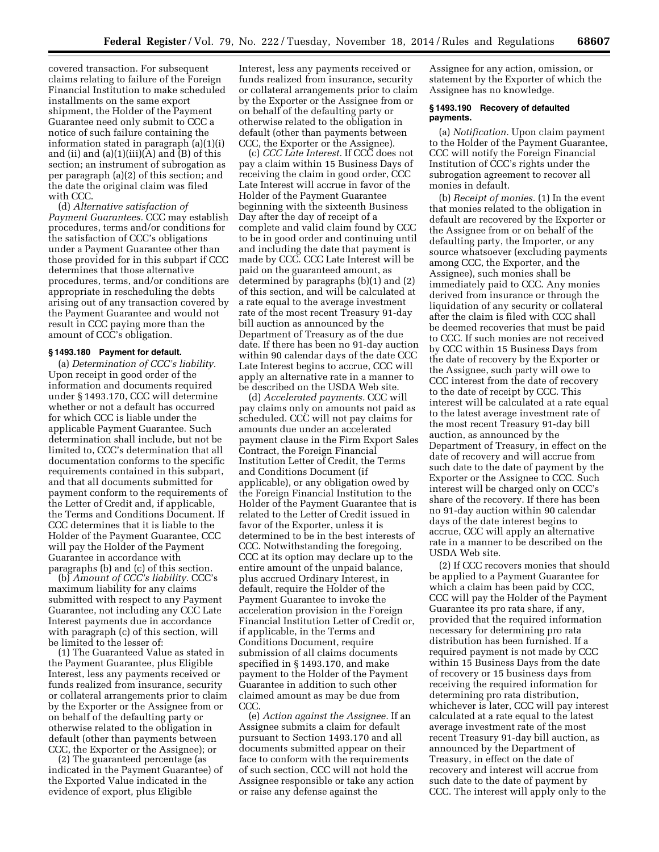covered transaction. For subsequent claims relating to failure of the Foreign Financial Institution to make scheduled installments on the same export shipment, the Holder of the Payment Guarantee need only submit to CCC a notice of such failure containing the information stated in paragraph (a)(1)(i) and (ii) and (a)(1)(iii)(A) and (B) of this section; an instrument of subrogation as per paragraph (a)(2) of this section; and the date the original claim was filed with CCC.

(d) *Alternative satisfaction of Payment Guarantees.* CCC may establish procedures, terms and/or conditions for the satisfaction of CCC's obligations under a Payment Guarantee other than those provided for in this subpart if CCC determines that those alternative procedures, terms, and/or conditions are appropriate in rescheduling the debts arising out of any transaction covered by the Payment Guarantee and would not result in CCC paying more than the amount of CCC's obligation.

#### **§ 1493.180 Payment for default.**

(a) *Determination of CCC's liability.*  Upon receipt in good order of the information and documents required under § 1493.170, CCC will determine whether or not a default has occurred for which CCC is liable under the applicable Payment Guarantee. Such determination shall include, but not be limited to, CCC's determination that all documentation conforms to the specific requirements contained in this subpart, and that all documents submitted for payment conform to the requirements of the Letter of Credit and, if applicable, the Terms and Conditions Document. If CCC determines that it is liable to the Holder of the Payment Guarantee, CCC will pay the Holder of the Payment Guarantee in accordance with paragraphs (b) and (c) of this section.

(b) *Amount of CCC's liability.* CCC's maximum liability for any claims submitted with respect to any Payment Guarantee, not including any CCC Late Interest payments due in accordance with paragraph (c) of this section, will be limited to the lesser of:

(1) The Guaranteed Value as stated in the Payment Guarantee, plus Eligible Interest, less any payments received or funds realized from insurance, security or collateral arrangements prior to claim by the Exporter or the Assignee from or on behalf of the defaulting party or otherwise related to the obligation in default (other than payments between CCC, the Exporter or the Assignee); or

(2) The guaranteed percentage (as indicated in the Payment Guarantee) of the Exported Value indicated in the evidence of export, plus Eligible

Interest, less any payments received or funds realized from insurance, security or collateral arrangements prior to claim by the Exporter or the Assignee from or on behalf of the defaulting party or otherwise related to the obligation in default (other than payments between CCC, the Exporter or the Assignee).

(c) *CCC Late Interest.* If CCC does not pay a claim within 15 Business Days of receiving the claim in good order, CCC Late Interest will accrue in favor of the Holder of the Payment Guarantee beginning with the sixteenth Business Day after the day of receipt of a complete and valid claim found by CCC to be in good order and continuing until and including the date that payment is made by CCC. CCC Late Interest will be paid on the guaranteed amount, as determined by paragraphs (b)(1) and (2) of this section, and will be calculated at a rate equal to the average investment rate of the most recent Treasury 91-day bill auction as announced by the Department of Treasury as of the due date. If there has been no 91-day auction within 90 calendar days of the date CCC Late Interest begins to accrue, CCC will apply an alternative rate in a manner to be described on the USDA Web site.

(d) *Accelerated payments.* CCC will pay claims only on amounts not paid as scheduled. CCC will not pay claims for amounts due under an accelerated payment clause in the Firm Export Sales Contract, the Foreign Financial Institution Letter of Credit, the Terms and Conditions Document (if applicable), or any obligation owed by the Foreign Financial Institution to the Holder of the Payment Guarantee that is related to the Letter of Credit issued in favor of the Exporter, unless it is determined to be in the best interests of CCC. Notwithstanding the foregoing, CCC at its option may declare up to the entire amount of the unpaid balance, plus accrued Ordinary Interest, in default, require the Holder of the Payment Guarantee to invoke the acceleration provision in the Foreign Financial Institution Letter of Credit or, if applicable, in the Terms and Conditions Document, require submission of all claims documents specified in § 1493.170, and make payment to the Holder of the Payment Guarantee in addition to such other claimed amount as may be due from CCC.

(e) *Action against the Assignee.* If an Assignee submits a claim for default pursuant to Section 1493.170 and all documents submitted appear on their face to conform with the requirements of such section, CCC will not hold the Assignee responsible or take any action or raise any defense against the

Assignee for any action, omission, or statement by the Exporter of which the Assignee has no knowledge.

#### **§ 1493.190 Recovery of defaulted payments.**

(a) *Notification.* Upon claim payment to the Holder of the Payment Guarantee, CCC will notify the Foreign Financial Institution of CCC's rights under the subrogation agreement to recover all monies in default.

(b) *Receipt of monies.* (1) In the event that monies related to the obligation in default are recovered by the Exporter or the Assignee from or on behalf of the defaulting party, the Importer, or any source whatsoever (excluding payments among CCC, the Exporter, and the Assignee), such monies shall be immediately paid to CCC. Any monies derived from insurance or through the liquidation of any security or collateral after the claim is filed with CCC shall be deemed recoveries that must be paid to CCC. If such monies are not received by CCC within 15 Business Days from the date of recovery by the Exporter or the Assignee, such party will owe to CCC interest from the date of recovery to the date of receipt by CCC. This interest will be calculated at a rate equal to the latest average investment rate of the most recent Treasury 91-day bill auction, as announced by the Department of Treasury, in effect on the date of recovery and will accrue from such date to the date of payment by the Exporter or the Assignee to CCC. Such interest will be charged only on CCC's share of the recovery. If there has been no 91-day auction within 90 calendar days of the date interest begins to accrue, CCC will apply an alternative rate in a manner to be described on the USDA Web site.

(2) If CCC recovers monies that should be applied to a Payment Guarantee for which a claim has been paid by CCC, CCC will pay the Holder of the Payment Guarantee its pro rata share, if any, provided that the required information necessary for determining pro rata distribution has been furnished. If a required payment is not made by CCC within 15 Business Days from the date of recovery or 15 business days from receiving the required information for determining pro rata distribution, whichever is later, CCC will pay interest calculated at a rate equal to the latest average investment rate of the most recent Treasury 91-day bill auction, as announced by the Department of Treasury, in effect on the date of recovery and interest will accrue from such date to the date of payment by CCC. The interest will apply only to the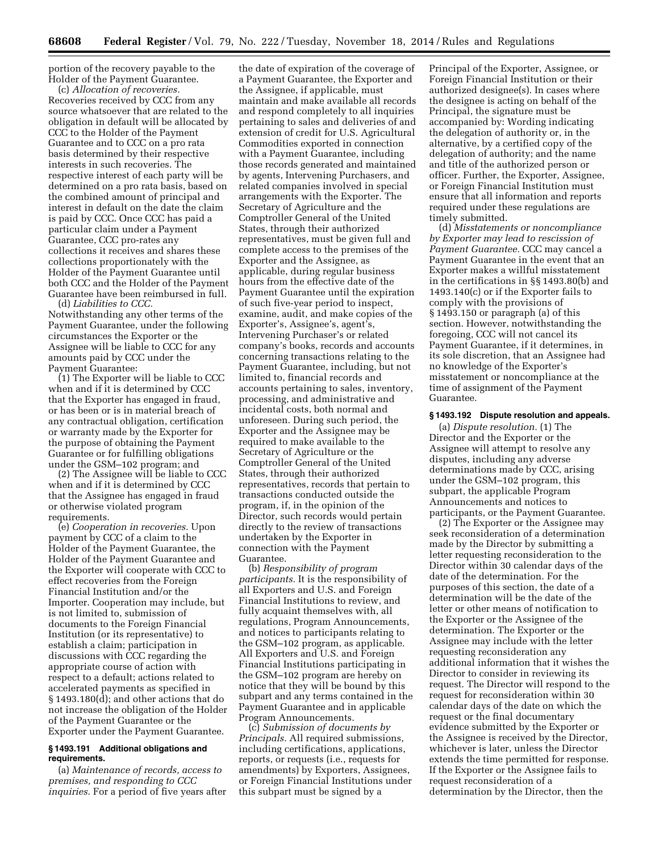portion of the recovery payable to the Holder of the Payment Guarantee.

(c) *Allocation of recoveries.*  Recoveries received by CCC from any source whatsoever that are related to the obligation in default will be allocated by CCC to the Holder of the Payment Guarantee and to CCC on a pro rata basis determined by their respective interests in such recoveries. The respective interest of each party will be determined on a pro rata basis, based on the combined amount of principal and interest in default on the date the claim is paid by CCC. Once CCC has paid a particular claim under a Payment Guarantee, CCC pro-rates any collections it receives and shares these collections proportionately with the Holder of the Payment Guarantee until both CCC and the Holder of the Payment Guarantee have been reimbursed in full.

(d) *Liabilities to CCC.*  Notwithstanding any other terms of the Payment Guarantee, under the following circumstances the Exporter or the Assignee will be liable to CCC for any amounts paid by CCC under the Payment Guarantee:

(1) The Exporter will be liable to CCC when and if it is determined by CCC that the Exporter has engaged in fraud, or has been or is in material breach of any contractual obligation, certification or warranty made by the Exporter for the purpose of obtaining the Payment Guarantee or for fulfilling obligations under the GSM–102 program; and

(2) The Assignee will be liable to CCC when and if it is determined by CCC that the Assignee has engaged in fraud or otherwise violated program requirements.

(e) *Cooperation in recoveries.* Upon payment by CCC of a claim to the Holder of the Payment Guarantee, the Holder of the Payment Guarantee and the Exporter will cooperate with CCC to effect recoveries from the Foreign Financial Institution and/or the Importer. Cooperation may include, but is not limited to, submission of documents to the Foreign Financial Institution (or its representative) to establish a claim; participation in discussions with CCC regarding the appropriate course of action with respect to a default; actions related to accelerated payments as specified in § 1493.180(d); and other actions that do not increase the obligation of the Holder of the Payment Guarantee or the Exporter under the Payment Guarantee.

## **§ 1493.191 Additional obligations and requirements.**

(a) *Maintenance of records, access to premises, and responding to CCC inquiries.* For a period of five years after

the date of expiration of the coverage of a Payment Guarantee, the Exporter and the Assignee, if applicable, must maintain and make available all records and respond completely to all inquiries pertaining to sales and deliveries of and extension of credit for U.S. Agricultural Commodities exported in connection with a Payment Guarantee, including those records generated and maintained by agents, Intervening Purchasers, and related companies involved in special arrangements with the Exporter. The Secretary of Agriculture and the Comptroller General of the United States, through their authorized representatives, must be given full and complete access to the premises of the Exporter and the Assignee, as applicable, during regular business hours from the effective date of the Payment Guarantee until the expiration of such five-year period to inspect, examine, audit, and make copies of the Exporter's, Assignee's, agent's, Intervening Purchaser's or related company's books, records and accounts concerning transactions relating to the Payment Guarantee, including, but not limited to, financial records and accounts pertaining to sales, inventory, processing, and administrative and incidental costs, both normal and unforeseen. During such period, the Exporter and the Assignee may be required to make available to the Secretary of Agriculture or the Comptroller General of the United States, through their authorized representatives, records that pertain to transactions conducted outside the program, if, in the opinion of the Director, such records would pertain directly to the review of transactions undertaken by the Exporter in connection with the Payment Guarantee.

(b) *Responsibility of program participants.* It is the responsibility of all Exporters and U.S. and Foreign Financial Institutions to review, and fully acquaint themselves with, all regulations, Program Announcements, and notices to participants relating to the GSM–102 program, as applicable. All Exporters and U.S. and Foreign Financial Institutions participating in the GSM–102 program are hereby on notice that they will be bound by this subpart and any terms contained in the Payment Guarantee and in applicable Program Announcements.

(c) *Submission of documents by Principals.* All required submissions, including certifications, applications, reports, or requests (i.e., requests for amendments) by Exporters, Assignees, or Foreign Financial Institutions under this subpart must be signed by a

Principal of the Exporter, Assignee, or Foreign Financial Institution or their authorized designee(s). In cases where the designee is acting on behalf of the Principal, the signature must be accompanied by: Wording indicating the delegation of authority or, in the alternative, by a certified copy of the delegation of authority; and the name and title of the authorized person or officer. Further, the Exporter, Assignee, or Foreign Financial Institution must ensure that all information and reports required under these regulations are timely submitted.

(d) *Misstatements or noncompliance by Exporter may lead to rescission of Payment Guarantee.* CCC may cancel a Payment Guarantee in the event that an Exporter makes a willful misstatement in the certifications in §§ 1493.80(b) and 1493.140(c) or if the Exporter fails to comply with the provisions of § 1493.150 or paragraph (a) of this section. However, notwithstanding the foregoing, CCC will not cancel its Payment Guarantee, if it determines, in its sole discretion, that an Assignee had no knowledge of the Exporter's misstatement or noncompliance at the time of assignment of the Payment Guarantee.

#### **§ 1493.192 Dispute resolution and appeals.**

(a) *Dispute resolution.* (1) The Director and the Exporter or the Assignee will attempt to resolve any disputes, including any adverse determinations made by CCC, arising under the GSM–102 program, this subpart, the applicable Program Announcements and notices to participants, or the Payment Guarantee.

(2) The Exporter or the Assignee may seek reconsideration of a determination made by the Director by submitting a letter requesting reconsideration to the Director within 30 calendar days of the date of the determination. For the purposes of this section, the date of a determination will be the date of the letter or other means of notification to the Exporter or the Assignee of the determination. The Exporter or the Assignee may include with the letter requesting reconsideration any additional information that it wishes the Director to consider in reviewing its request. The Director will respond to the request for reconsideration within 30 calendar days of the date on which the request or the final documentary evidence submitted by the Exporter or the Assignee is received by the Director, whichever is later, unless the Director extends the time permitted for response. If the Exporter or the Assignee fails to request reconsideration of a determination by the Director, then the